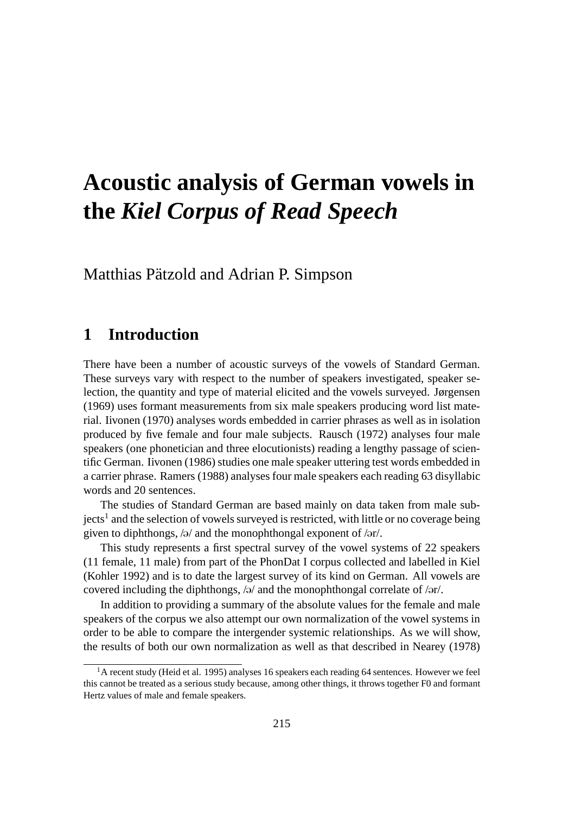# **Acoustic analysis of German vowels in the** *Kiel Corpus of Read Speech*

Matthias Pätzold and Adrian P. Simpson

# **1 Introduction**

There have been a number of acoustic surveys of the vowels of Standard German. These surveys vary with respect to the number of speakers investigated, speaker selection, the quantity and type of material elicited and the vowels surveyed. Jørgensen (1969) uses formant measurements from six male speakers producing word list material. Iivonen (1970) analyses words embedded in carrier phrases as well as in isolation produced by five female and four male subjects. Rausch (1972) analyses four male speakers (one phonetician and three elocutionists) reading a lengthy passage of scientific German. Iivonen (1986) studies one male speaker uttering test words embedded in a carrier phrase. Ramers (1988) analyses four male speakers each reading 63 disyllabic words and 20 sentences.

The studies of Standard German are based mainly on data taken from male subjects<sup>1</sup> and the selection of vowels surveyed is restricted, with little or no coverage being given to diphthongs,  $\sqrt{a}$  and the monophthongal exponent of  $\sqrt{ar}$ .

This study represents a first spectral survey of the vowel systems of 22 speakers (11 female, 11 male) from part of the PhonDat I corpus collected and labelled in Kiel (Kohler 1992) and is to date the largest survey of its kind on German. All vowels are covered including the diphthongs,  $/9/$  and the monophthongal correlate of  $/9r/$ .

In addition to providing a summary of the absolute values for the female and male speakers of the corpus we also attempt our own normalization of the vowel systems in order to be able to compare the intergender systemic relationships. As we will show, the results of both our own normalization as well as that described in Nearey (1978)

 ${}^{1}$ A recent study (Heid et al. 1995) analyses 16 speakers each reading 64 sentences. However we feel this cannot be treated as a serious study because, among other things, it throws together F0 and formant Hertz values of male and female speakers.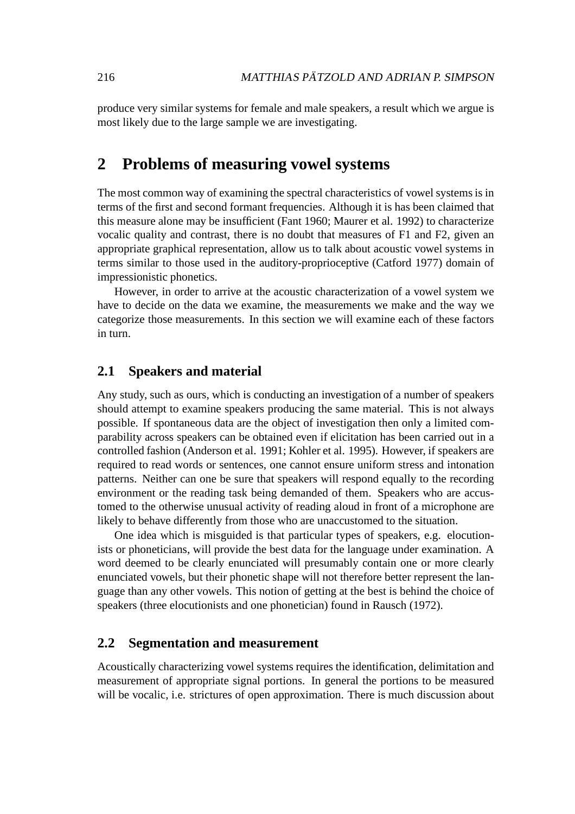produce very similar systems for female and male speakers, a result which we argue is most likely due to the large sample we are investigating.

# **2 Problems of measuring vowel systems**

The most common way of examining the spectral characteristics of vowel systems is in terms of the first and second formant frequencies. Although it is has been claimed that this measure alone may be insufficient (Fant 1960; Maurer et al. 1992) to characterize vocalic quality and contrast, there is no doubt that measures of F1 and F2, given an appropriate graphical representation, allow us to talk about acoustic vowel systems in terms similar to those used in the auditory-proprioceptive (Catford 1977) domain of impressionistic phonetics.

However, in order to arrive at the acoustic characterization of a vowel system we have to decide on the data we examine, the measurements we make and the way we categorize those measurements. In this section we will examine each of these factors in turn.

#### **2.1 Speakers and material**

Any study, such as ours, which is conducting an investigation of a number of speakers should attempt to examine speakers producing the same material. This is not always possible. If spontaneous data are the object of investigation then only a limited comparability across speakers can be obtained even if elicitation has been carried out in a controlled fashion (Anderson et al. 1991; Kohler et al. 1995). However, if speakers are required to read words or sentences, one cannot ensure uniform stress and intonation patterns. Neither can one be sure that speakers will respond equally to the recording environment or the reading task being demanded of them. Speakers who are accustomed to the otherwise unusual activity of reading aloud in front of a microphone are likely to behave differently from those who are unaccustomed to the situation.

One idea which is misguided is that particular types of speakers, e.g. elocutionists or phoneticians, will provide the best data for the language under examination. A word deemed to be clearly enunciated will presumably contain one or more clearly enunciated vowels, but their phonetic shape will not therefore better represent the language than any other vowels. This notion of getting at the best is behind the choice of speakers (three elocutionists and one phonetician) found in Rausch (1972).

#### **2.2 Segmentation and measurement**

Acoustically characterizing vowel systems requires the identification, delimitation and measurement of appropriate signal portions. In general the portions to be measured will be vocalic, i.e. strictures of open approximation. There is much discussion about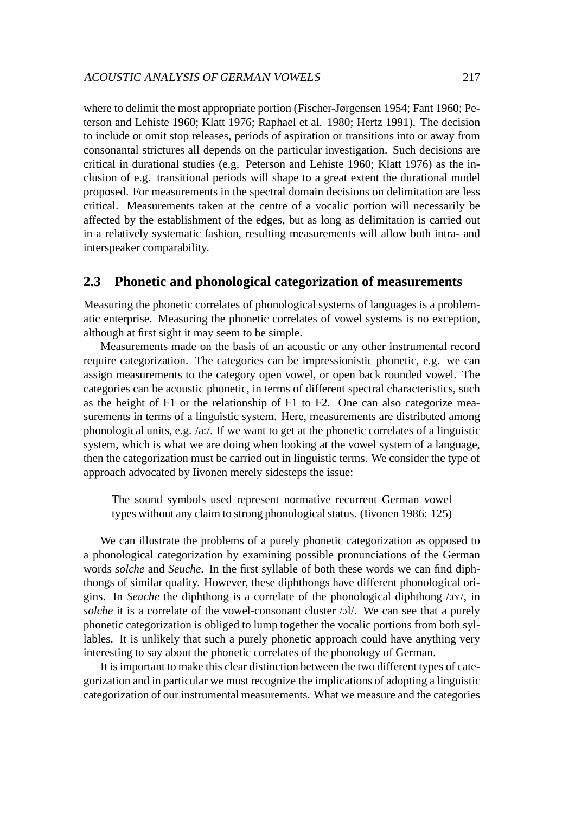where to delimit the most appropriate portion (Fischer-Jørgensen 1954; Fant 1960; Peterson and Lehiste 1960; Klatt 1976; Raphael et al. 1980; Hertz 1991). The decision to include or omit stop releases, periods of aspiration or transitions into or away from consonantal strictures all depends on the particular investigation. Such decisions are critical in durational studies (e.g. Peterson and Lehiste 1960; Klatt 1976) as the inclusion of e.g. transitional periods will shape to a great extent the durational model proposed. For measurements in the spectral domain decisions on delimitation are less critical. Measurements taken at the centre of a vocalic portion will necessarily be affected by the establishment of the edges, but as long as delimitation is carried out in a relatively systematic fashion, resulting measurements will allow both intra- and interspeaker comparability.

#### **2.3 Phonetic and phonological categorization of measurements**

Measuring the phonetic correlates of phonological systems of languages is a problematic enterprise. Measuring the phonetic correlates of vowel systems is no exception, although at first sight it may seem to be simple.

Measurements made on the basis of an acoustic or any other instrumental record require categorization. The categories can be impressionistic phonetic, e.g. we can assign measurements to the category open vowel, or open back rounded vowel. The categories can be acoustic phonetic, in terms of different spectral characteristics, such as the height of F1 or the relationship of F1 to F2. One can also categorize measurements in terms of a linguistic system. Here, measurements are distributed among phonological units, e.g. /a:/. If we want to get at the phonetic correlates of a linguistic system, which is what we are doing when looking at the vowel system of a language, then the categorization must be carried out in linguistic terms. We consider the type of approach advocated by Iivonen merely sidesteps the issue:

The sound symbols used represent normative recurrent German vowel types without any claim to strong phonological status. (Iivonen 1986: 125)

We can illustrate the problems of a purely phonetic categorization as opposed to a phonological categorization by examining possible pronunciations of the German words *solche* and *Seuche*. In the first syllable of both these words we can find diphthongs of similar quality. However, these diphthongs have different phonological origins. In *Seuche* the diphthong is a correlate of the phonological diphthong /oy/, in *solche* it is a correlate of the vowel-consonant cluster /ol/. We can see that a purely phonetic categorization is obliged to lump together the vocalic portions from both syllables. It is unlikely that such a purely phonetic approach could have anything very interesting to say about the phonetic correlates of the phonology of German.

It is important to make this clear distinction between the two different types of categorization and in particular we must recognize the implications of adopting a linguistic categorization of our instrumental measurements. What we measure and the categories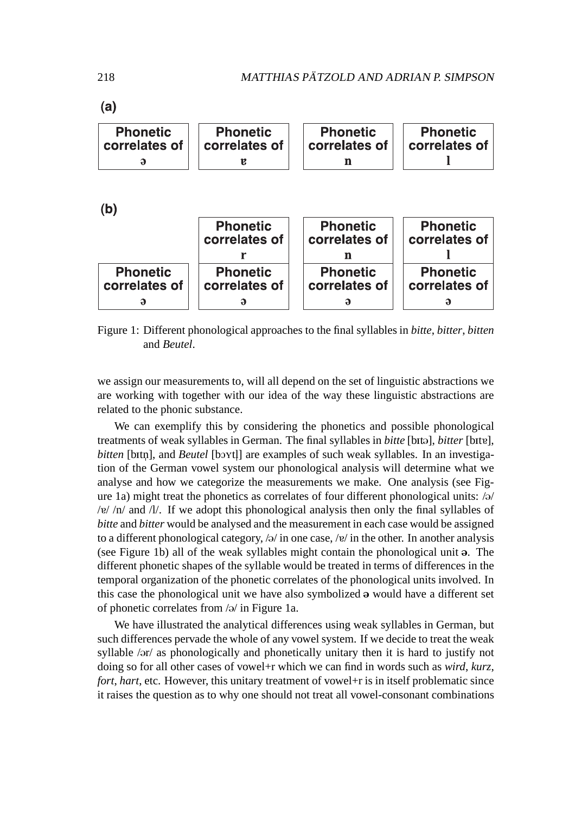$(a)$ 

| <b>Phonetic</b> | <b>Phonetic</b> | <b>Phonetic</b> | <b>Phonetic</b> |
|-----------------|-----------------|-----------------|-----------------|
| correlates of   | correlates of   | correlates of   | correlates of   |
|                 |                 |                 |                 |

 $(h)$ 

| $\sqrt{2}$                       |                                  |                                  |                                  |  |
|----------------------------------|----------------------------------|----------------------------------|----------------------------------|--|
|                                  | <b>Phonetic</b><br>correlates of | <b>Phonetic</b><br>correlates of | <b>Phonetic</b><br>correlates of |  |
|                                  |                                  |                                  |                                  |  |
| <b>Phonetic</b><br>correlates of | <b>Phonetic</b><br>correlates of | <b>Phonetic</b><br>correlates of | <b>Phonetic</b><br>correlates of |  |
|                                  |                                  |                                  |                                  |  |

Figure 1: Different phonological approaches to the final syllables in *bitte*, *bitter*, *bitten* and *Beutel*.

we assign our measurements to, will all depend on the set of linguistic abstractions we are working with together with our idea of the way these linguistic abstractions are related to the phonic substance.

We can exemplify this by considering the phonetics and possible phonological treatments of weak syllables in German. The final syllables in *bitte* [bitə], *bitter* [bitɐ], bitten [bitn], and *Beutel* [boytl] are examples of such weak syllables. In an investigation of the German vowel system our phonological analysis will determine what we analyse and how we categorize the measurements we make. One analysis (see Figure 1a) might treat the phonetics as correlates of four different phonological units:  $\sqrt{a}$ / / $v$ / $n$ / and /l/. If we adopt this phonological analysis then only the final syllables of *bitte* and *bitter* would be analysed and the measurement in each case would be assigned to a different phonological category,  $\frac{1}{2}$  in one case,  $\frac{1}{2}$  in the other. In another analysis (see Figure 1b) all of the weak syllables might contain the phonological unit  $\varphi$ . The different phonetic shapes of the syllable would be treated in terms of differences in the temporal organization of the phonetic correlates of the phonological units involved. In this case the phonological unit we have also symbolized  $\theta$  would have a different set of phonetic correlates from  $\sqrt{2}$  in Figure 1a.

We have illustrated the analytical differences using weak syllables in German, but such differences pervade the whole of any vowel system. If we decide to treat the weak syllable /ər/ as phonologically and phonetically unitary then it is hard to justify not doing so for all other cases of vowel+r which we can find in words such as *wird*, *kurz*, *fort*, *hart*, etc. However, this unitary treatment of vowel+r is in itself problematic since it raises the question as to why one should not treat all vowel-consonant combinations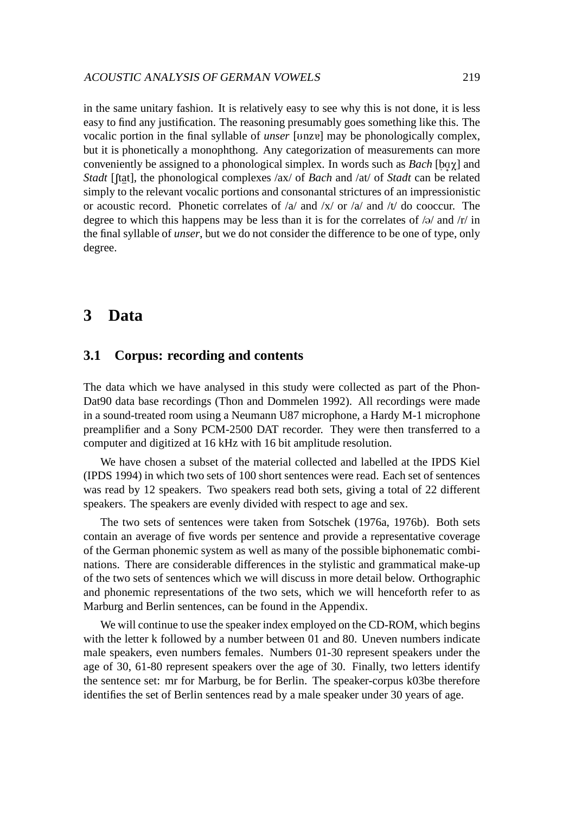in the same unitary fashion. It is relatively easy to see why this is not done, it is less easy to find any justification. The reasoning presumably goes something like this. The vocalic portion in the final syllable of *unser* [unze] may be phonologically complex, but it is phonetically a monophthong. Any categorization of measurements can more conveniently be assigned to a phonological simplex. In words such as *Bach* [bqχ] and *Stadt* [ftat], the phonological complexes /ax/ of *Bach* and /at/ of *Stadt* can be related simply to the relevant vocalic portions and consonantal strictures of an impressionistic or acoustic record. Phonetic correlates of /a/ and /x/ or /a/ and /t/ do cooccur. The degree to which this happens may be less than it is for the correlates of  $\frac{1}{2}$  and  $\frac{r}{\ln n}$ the final syllable of *unser*, but we do not consider the difference to be one of type, only degree.

# **3 Data**

## **3.1 Corpus: recording and contents**

The data which we have analysed in this study were collected as part of the Phon-Dat90 data base recordings (Thon and Dommelen 1992). All recordings were made in a sound-treated room using a Neumann U87 microphone, a Hardy M-1 microphone preamplifier and a Sony PCM-2500 DAT recorder. They were then transferred to a computer and digitized at 16 kHz with 16 bit amplitude resolution.

We have chosen a subset of the material collected and labelled at the IPDS Kiel (IPDS 1994) in which two sets of 100 short sentences were read. Each set of sentences was read by 12 speakers. Two speakers read both sets, giving a total of 22 different speakers. The speakers are evenly divided with respect to age and sex.

The two sets of sentences were taken from Sotschek (1976a, 1976b). Both sets contain an average of five words per sentence and provide a representative coverage of the German phonemic system as well as many of the possible biphonematic combinations. There are considerable differences in the stylistic and grammatical make-up of the two sets of sentences which we will discuss in more detail below. Orthographic and phonemic representations of the two sets, which we will henceforth refer to as Marburg and Berlin sentences, can be found in the Appendix.

We will continue to use the speaker index employed on the CD-ROM, which begins with the letter k followed by a number between 01 and 80. Uneven numbers indicate male speakers, even numbers females. Numbers 01-30 represent speakers under the age of 30, 61-80 represent speakers over the age of 30. Finally, two letters identify the sentence set: mr for Marburg, be for Berlin. The speaker-corpus k03be therefore identifies the set of Berlin sentences read by a male speaker under 30 years of age.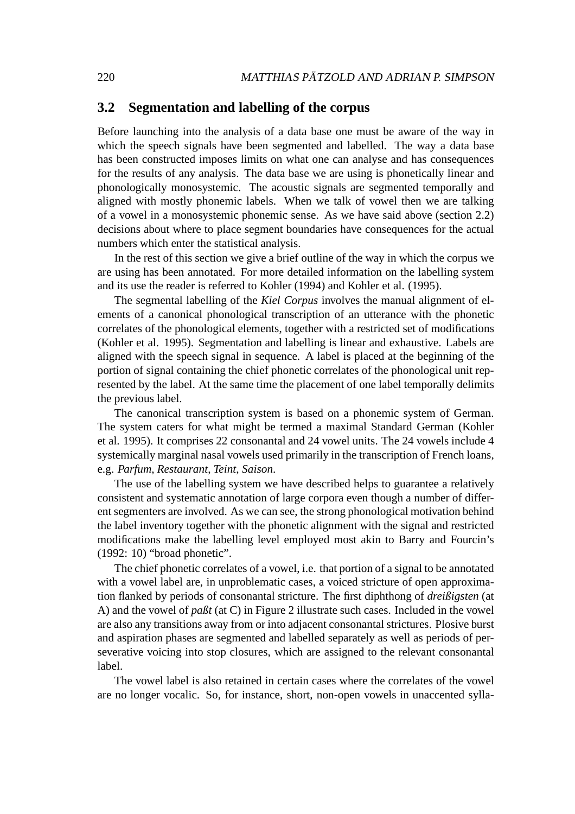#### **3.2 Segmentation and labelling of the corpus**

Before launching into the analysis of a data base one must be aware of the way in which the speech signals have been segmented and labelled. The way a data base has been constructed imposes limits on what one can analyse and has consequences for the results of any analysis. The data base we are using is phonetically linear and phonologically monosystemic. The acoustic signals are segmented temporally and aligned with mostly phonemic labels. When we talk of vowel then we are talking of a vowel in a monosystemic phonemic sense. As we have said above (section 2.2) decisions about where to place segment boundaries have consequences for the actual numbers which enter the statistical analysis.

In the rest of this section we give a brief outline of the way in which the corpus we are using has been annotated. For more detailed information on the labelling system and its use the reader is referred to Kohler (1994) and Kohler et al. (1995).

The segmental labelling of the *Kiel Corpus* involves the manual alignment of elements of a canonical phonological transcription of an utterance with the phonetic correlates of the phonological elements, together with a restricted set of modifications (Kohler et al. 1995). Segmentation and labelling is linear and exhaustive. Labels are aligned with the speech signal in sequence. A label is placed at the beginning of the portion of signal containing the chief phonetic correlates of the phonological unit represented by the label. At the same time the placement of one label temporally delimits the previous label.

The canonical transcription system is based on a phonemic system of German. The system caters for what might be termed a maximal Standard German (Kohler et al. 1995). It comprises 22 consonantal and 24 vowel units. The 24 vowels include 4 systemically marginal nasal vowels used primarily in the transcription of French loans, e.g. *Parfum*, *Restaurant*, *Teint*, *Saison*.

The use of the labelling system we have described helps to guarantee a relatively consistent and systematic annotation of large corpora even though a number of different segmenters are involved. As we can see, the strong phonological motivation behind the label inventory together with the phonetic alignment with the signal and restricted modifications make the labelling level employed most akin to Barry and Fourcin's (1992: 10) "broad phonetic".

The chief phonetic correlates of a vowel, i.e. that portion of a signal to be annotated with a vowel label are, in unproblematic cases, a voiced stricture of open approximation flanked by periods of consonantal stricture. The first diphthong of *dreißigsten* (at A) and the vowel of *paßt* (at C) in Figure 2 illustrate such cases. Included in the vowel are also any transitions away from or into adjacent consonantal strictures. Plosive burst and aspiration phases are segmented and labelled separately as well as periods of perseverative voicing into stop closures, which are assigned to the relevant consonantal label.

The vowel label is also retained in certain cases where the correlates of the vowel are no longer vocalic. So, for instance, short, non-open vowels in unaccented sylla-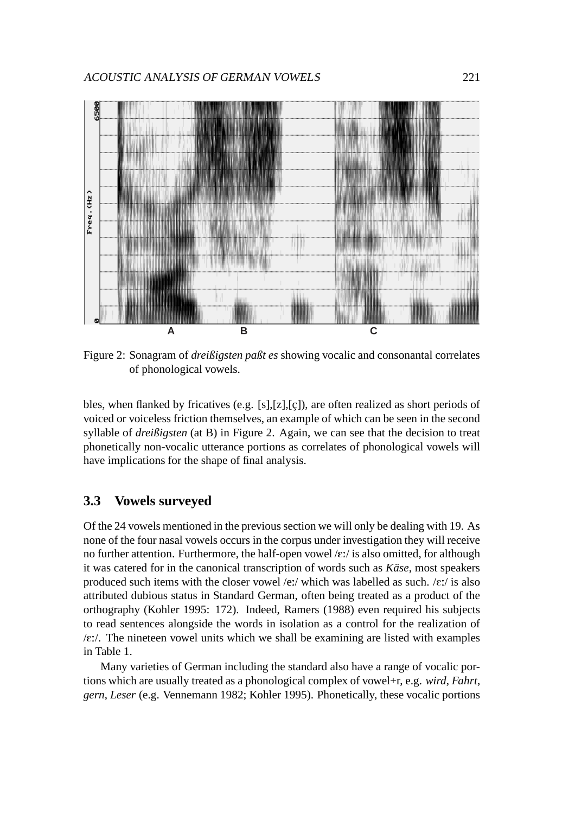

Figure 2: Sonagram of *dreißigsten paßt es* showing vocalic and consonantal correlates of phonological vowels.

bles, when flanked by fricatives (e.g.  $[s],[z],[\zeta])$ , are often realized as short periods of voiced or voiceless friction themselves, an example of which can be seen in the second syllable of *dreißigsten* (at B) in Figure 2. Again, we can see that the decision to treat phonetically non-vocalic utterance portions as correlates of phonological vowels will have implications for the shape of final analysis.

#### **3.3 Vowels surveyed**

Of the 24 vowels mentioned in the previous section we will only be dealing with 19. As none of the four nasal vowels occurs in the corpus under investigation they will receive no further attention. Furthermore, the half-open vowel  $/\varepsilon$ :/ is also omitted, for although it was catered for in the canonical transcription of words such as *Käse*, most speakers produced such items with the closer vowel /e:/ which was labelled as such.  $/\varepsilon$ :/ is also attributed dubious status in Standard German, often being treated as a product of the orthography (Kohler 1995: 172). Indeed, Ramers (1988) even required his subjects to read sentences alongside the words in isolation as a control for the realization of  $\sqrt{\epsilon}$ . The nineteen vowel units which we shall be examining are listed with examples in Table 1.

Many varieties of German including the standard also have a range of vocalic portions which are usually treated as a phonological complex of vowel+r, e.g. *wird*, *Fahrt*, *gern*, *Leser* (e.g. Vennemann 1982; Kohler 1995). Phonetically, these vocalic portions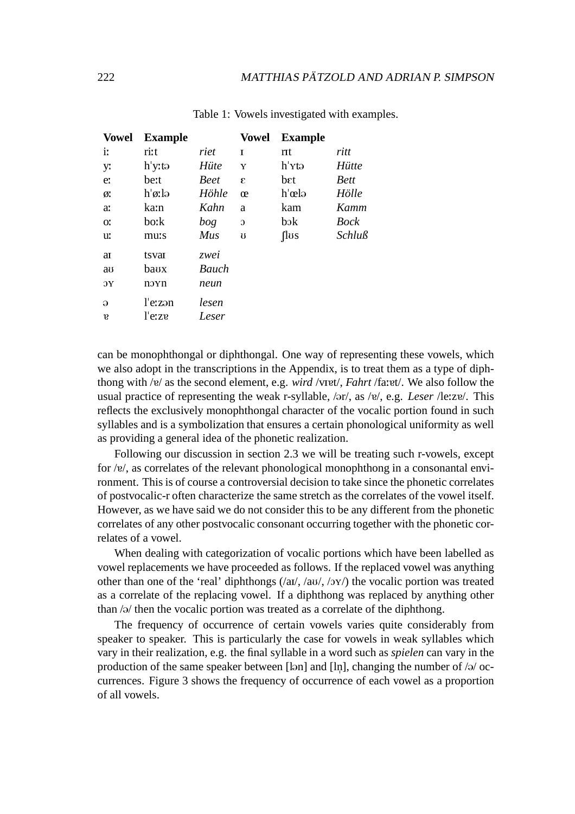| <b>Vowel</b> | <b>Example</b>      |             | Vowel    | <b>Example</b>       |              |
|--------------|---------------------|-------------|----------|----------------------|--------------|
| i:           | ri:t                | riet        | T        | rit                  | ritt         |
| y:           | h y:tə              | Hüte        | Y        | h <i>xt</i> ə        | Hütte        |
| e:           | be:t                | <b>Beet</b> | E        | bεt                  | <b>Bett</b>  |
| ø.           | $h \varnothing$ :lə | Höhle       | œ        | h œlə                | Hölle        |
| a:           | ka:n                | Kahn        | a        | kam                  | Kamm         |
| O.           | bo:k                | bog         | $\Omega$ | $b$ <sub>o</sub> $k$ | Bock         |
| u:           | mu:s                | Mus         | U        | flus                 | $Schlu\beta$ |
| aı           | tsvar               | zwei        |          |                      |              |
| au           | baux                | Bauch       |          |                      |              |
| ЭΥ           | novn                | neun        |          |                      |              |
| Э            | $l$ e: $z$ an       | lesen       |          |                      |              |
| $\mathbf{p}$ | l e:ze              | Leser       |          |                      |              |

Table 1: Vowels investigated with examples.

can be monophthongal or diphthongal. One way of representing these vowels, which we also adopt in the transcriptions in the Appendix, is to treat them as a type of diphthong with /v/ as the second element, e.g. *wird* /vIvet/, *Fahrt* /fa:vt/. We also follow the usual practice of representing the weak r-syllable,  $\sqrt{gr}$ , as  $\sqrt{g}$ , e.g. *Leser* /le:z $v$ . This reflects the exclusively monophthongal character of the vocalic portion found in such syllables and is a symbolization that ensures a certain phonological uniformity as well as providing a general idea of the phonetic realization.

Following our discussion in section 2.3 we will be treating such r-vowels, except for  $\langle v \rangle$ , as correlates of the relevant phonological monophthong in a consonantal environment. This is of course a controversial decision to take since the phonetic correlates of postvocalic-r often characterize the same stretch as the correlates of the vowel itself. However, as we have said we do not consider this to be any different from the phonetic correlates of any other postvocalic consonant occurring together with the phonetic correlates of a vowel.

When dealing with categorization of vocalic portions which have been labelled as vowel replacements we have proceeded as follows. If the replaced vowel was anything other than one of the 'real' diphthongs  $(\alpha u, \alpha v, \alpha v)$  the vocalic portion was treated as a correlate of the replacing vowel. If a diphthong was replaced by anything other than  $\sqrt{9}$  then the vocalic portion was treated as a correlate of the diphthong.

The frequency of occurrence of certain vowels varies quite considerably from speaker to speaker. This is particularly the case for vowels in weak syllables which vary in their realization, e.g. the final syllable in a word such as *spielen* can vary in the production of the same speaker between [lan] and [ln], changing the number of  $\frac{1}{9}$  oc-" currences. Figure 3 shows the frequency of occurrence of each vowel as a proportion of all vowels.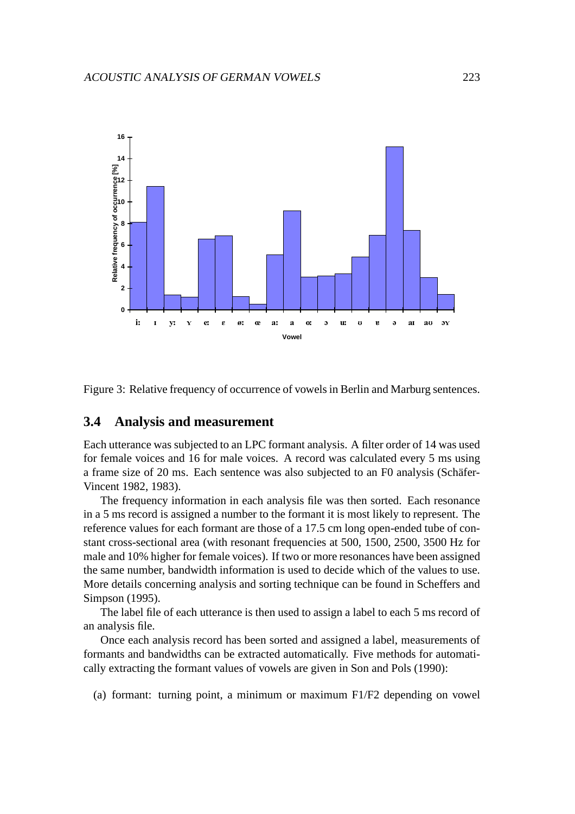

Figure 3: Relative frequency of occurrence of vowels in Berlin and Marburg sentences.

### **3.4 Analysis and measurement**

Each utterance was subjected to an LPC formant analysis. A filter order of 14 was used for female voices and 16 for male voices. A record was calculated every 5 ms using a frame size of 20 ms. Each sentence was also subjected to an F0 analysis (Schäfer-Vincent 1982, 1983).

The frequency information in each analysis file was then sorted. Each resonance in a 5 ms record is assigned a number to the formant it is most likely to represent. The reference values for each formant are those of a 17.5 cm long open-ended tube of constant cross-sectional area (with resonant frequencies at 500, 1500, 2500, 3500 Hz for male and 10% higher for female voices). If two or more resonances have been assigned the same number, bandwidth information is used to decide which of the values to use. More details concerning analysis and sorting technique can be found in Scheffers and Simpson (1995).

The label file of each utterance is then used to assign a label to each 5 ms record of an analysis file.

Once each analysis record has been sorted and assigned a label, measurements of formants and bandwidths can be extracted automatically. Five methods for automatically extracting the formant values of vowels are given in Son and Pols (1990):

(a) formant: turning point, a minimum or maximum F1/F2 depending on vowel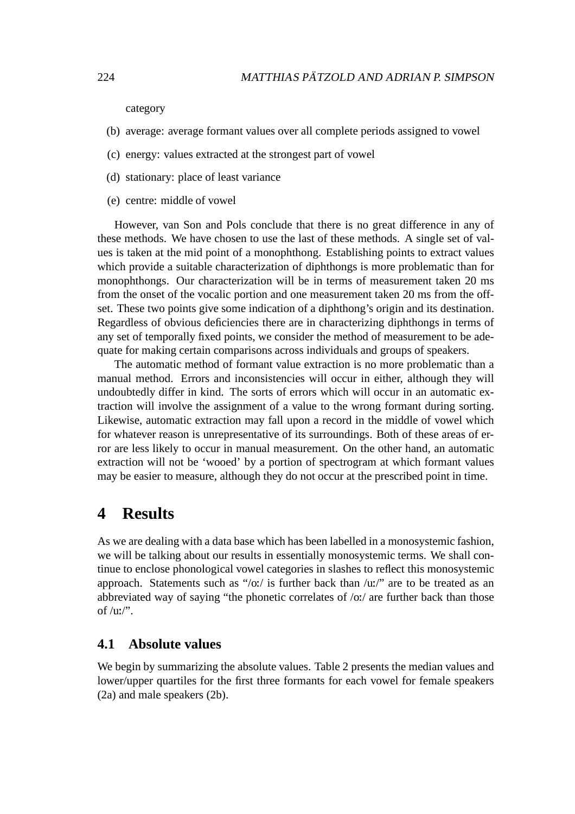category

- (b) average: average formant values over all complete periods assigned to vowel
- (c) energy: values extracted at the strongest part of vowel
- (d) stationary: place of least variance
- (e) centre: middle of vowel

However, van Son and Pols conclude that there is no great difference in any of these methods. We have chosen to use the last of these methods. A single set of values is taken at the mid point of a monophthong. Establishing points to extract values which provide a suitable characterization of diphthongs is more problematic than for monophthongs. Our characterization will be in terms of measurement taken 20 ms from the onset of the vocalic portion and one measurement taken 20 ms from the offset. These two points give some indication of a diphthong's origin and its destination. Regardless of obvious deficiencies there are in characterizing diphthongs in terms of any set of temporally fixed points, we consider the method of measurement to be adequate for making certain comparisons across individuals and groups of speakers.

The automatic method of formant value extraction is no more problematic than a manual method. Errors and inconsistencies will occur in either, although they will undoubtedly differ in kind. The sorts of errors which will occur in an automatic extraction will involve the assignment of a value to the wrong formant during sorting. Likewise, automatic extraction may fall upon a record in the middle of vowel which for whatever reason is unrepresentative of its surroundings. Both of these areas of error are less likely to occur in manual measurement. On the other hand, an automatic extraction will not be 'wooed' by a portion of spectrogram at which formant values may be easier to measure, although they do not occur at the prescribed point in time.

# **4 Results**

As we are dealing with a data base which has been labelled in a monosystemic fashion, we will be talking about our results in essentially monosystemic terms. We shall continue to enclose phonological vowel categories in slashes to reflect this monosystemic approach. Statements such as "/o:/ is further back than /u:/" are to be treated as an abbreviated way of saying "the phonetic correlates of /o:/ are further back than those of  $/uv''$ .

#### **4.1 Absolute values**

We begin by summarizing the absolute values. Table 2 presents the median values and lower/upper quartiles for the first three formants for each vowel for female speakers (2a) and male speakers (2b).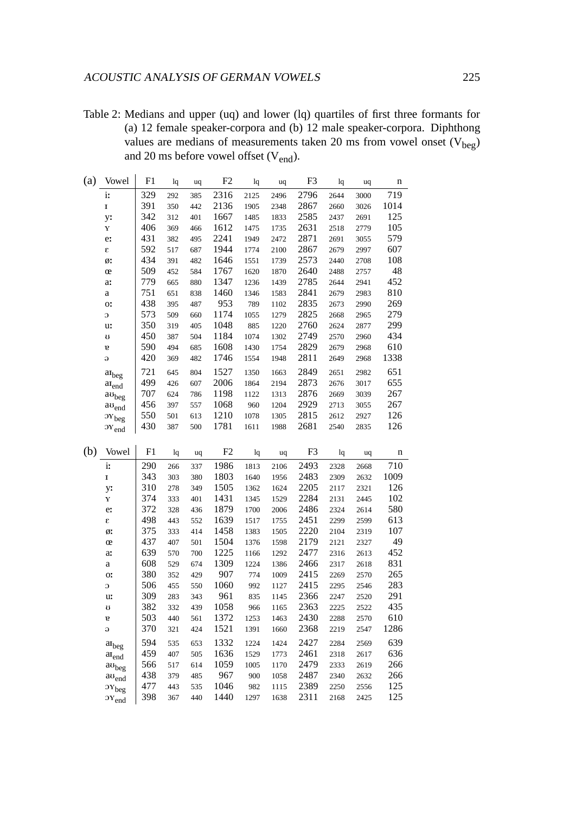Table 2: Medians and upper (uq) and lower (lq) quartiles of first three formants for (a) 12 female speaker-corpora and (b) 12 male speaker-corpora. Diphthong values are medians of measurements taken 20 ms from vowel onset  $(V_{beg})$ and 20 ms before vowel offset (V<sub>end</sub>).

| (a) | Vowel                                     | F1         | lq  | uq  | F <sub>2</sub> | lq   | uq   | F3           | lq    | uq   | n          |
|-----|-------------------------------------------|------------|-----|-----|----------------|------|------|--------------|-------|------|------------|
|     | i:                                        | 329        | 292 | 385 | 2316           | 2125 | 2496 | 2796         | 2644  | 3000 | 719        |
|     | $\mathbf I$                               | 391        | 350 | 442 | 2136           | 1905 | 2348 | 2867         | 2660  | 3026 | 1014       |
|     | y:                                        | 342        | 312 | 401 | 1667           | 1485 | 1833 | 2585         | 2437  | 2691 | 125        |
|     | Y                                         | 406        | 369 | 466 | 1612           | 1475 | 1735 | 2631         | 2518  | 2779 | 105        |
|     | e:                                        | 431        | 382 | 495 | 2241           | 1949 | 2472 | 2871         | 2691  | 3055 | 579        |
|     | $\pmb{\mathcal{E}}$                       | 592        | 517 | 687 | 1944           | 1774 | 2100 | 2867         | 2679  | 2997 | 607        |
|     | ø.                                        | 434        | 391 | 482 | 1646           | 1551 | 1739 | 2573         | 2440  | 2708 | 108        |
|     | œ                                         | 509        | 452 | 584 | 1767           | 1620 | 1870 | 2640         | 2488  | 2757 | 48         |
|     | a:                                        | 779        | 665 | 880 | 1347           | 1236 | 1439 | 2785         | 2644  | 2941 | 452        |
|     | $\rm{a}$                                  | 751        | 651 | 838 | 1460           | 1346 | 1583 | 2841         | 2679  | 2983 | 810        |
|     | 0.                                        | 438        | 395 | 487 | 953            | 789  | 1102 | 2835         | 2673  | 2990 | 269        |
|     | $\overline{O}$                            | 573        | 509 | 660 | 1174           | 1055 | 1279 | 2825         | 2668  | 2965 | 279        |
|     | u:                                        | 350        | 319 | 405 | 1048           | 885  | 1220 | 2760         | 2624  | 2877 | 299        |
|     | U                                         | 450        | 387 | 504 | 1184           | 1074 | 1302 | 2749         | 2570  | 2960 | 434        |
|     | $\mathbf{g}$                              | 590        | 494 | 685 | 1608           | 1430 | 1754 | 2829         | 2679  | 2968 | 610        |
|     | $\Theta$                                  | 420        | 369 | 482 | 1746           | 1554 | 1948 | 2811         | 2649  | 2968 | 1338       |
|     | $a_{\rm{beg}}$                            | 721        | 645 | 804 | 1527           | 1350 | 1663 | 2849         | 2651  | 2982 | 651        |
|     | $a_{\mathrm{Iend}}$                       | 499        | 426 | 607 | 2006           | 1864 | 2194 | 2873         | 2676  | 3017 | 655        |
|     | $\mathbf{a}\mathbf{u}_\text{beg}$         | 707        | 624 | 786 | 1198           | 1122 | 1313 | 2876         | 2669  | 3039 | 267        |
|     | $\rm{a}\,\rm{o}_{\rm{end}}$               | 456        | 397 | 557 | 1068           | 960  | 1204 | 2929         | 2713  | 3055 | 267        |
|     | $\mathbf{O}Y_{\text{beg}}$                | 550        | 501 | 613 | 1210           | 1078 | 1305 | 2815         | 2612  | 2927 | 126        |
|     | $OY_{end}$                                | 430        | 387 | 500 | 1781           | 1611 | 1988 | 2681         | 2540  | 2835 | 126        |
| (b) | Vowel                                     | F1         | lq  | uq  | F2             | lq   | uq   | F3           | $\lg$ | uq   | n          |
|     |                                           |            |     |     |                |      |      |              |       |      |            |
|     | i:                                        | 290        | 266 | 337 | 1986           | 1813 | 2106 | 2493         | 2328  | 2668 | 710        |
|     | $\mathbf I$                               | 343        | 303 | 380 | 1803           | 1640 | 1956 | 2483         | 2309  | 2632 | 1009       |
|     | y:                                        | 310        | 278 | 349 | 1505           | 1362 | 1624 | 2205         | 2117  | 2321 | 126        |
|     | Y                                         | 374        | 333 | 401 | 1431           | 1345 | 1529 | 2284         | 2131  | 2445 | 102        |
|     | e:                                        | 372        | 328 | 436 | 1879           | 1700 | 2006 | 2486         | 2324  | 2614 | 580        |
|     | $\pmb{\epsilon}$                          | 498        | 443 | 552 | 1639           | 1517 | 1755 | 2451         | 2299  | 2599 | 613        |
|     | ø.                                        | 375        | 333 | 414 | 1458           | 1383 | 1505 | 2220         | 2104  | 2319 | 107<br>49  |
|     | œ                                         | 437        | 407 | 501 | 1504           | 1376 | 1598 | 2179         | 2121  | 2327 |            |
|     | a:                                        | 639<br>608 | 570 | 700 | 1225<br>1309   | 1166 | 1292 | 2477<br>2466 | 2316  | 2613 | 452<br>831 |
|     | a                                         | 380        | 529 | 674 | 907            | 1224 | 1386 | 2415         | 2317  | 2618 | 265        |
|     | O.                                        | 506        | 352 | 429 | 1060           | 774  | 1009 | 2415         | 2269  | 2570 | 283        |
|     | $\mathbb C$                               | 309        | 455 | 550 | 961            | 992  | 1127 | 2366         | 2295  | 2546 | 291        |
|     | u:                                        |            | 283 | 343 | 1058           | 835  | 1145 |              | 2247  | 2520 | 435        |
|     |                                           | 382        | 332 | 439 |                | 966  | 1165 | 2363         | 2225  | 2522 |            |
|     | g                                         | 503        | 440 | 561 | 1372           | 1253 | 1463 | 2430         | 2288  | 2570 | 610        |
|     | Э                                         | 370        | 321 | 424 | 1521           | 1391 | 1660 | 2368         | 2219  | 2547 | 1286       |
|     | $\rm {at}_{beg}$                          | 594        | 535 | 653 | 1332           | 1224 | 1424 | 2427         | 2284  | 2569 | 639        |
|     | $aI_{end}$                                | 459        | 407 | 505 | 1636           | 1529 | 1773 | 2461         | 2318  | 2617 | 636        |
|     | $av_{beg}$                                | 566        | 517 | 614 | 1059           | 1005 | 1170 | 2479         | 2333  | 2619 | 266        |
|     | $\mathop{\rm {au}}\nolimits_{\text{end}}$ | 438        | 379 | 485 | 967            | 900  | 1058 | 2487         | 2340  | 2632 | 266        |
|     | $\mathcal{O}Y_{\text{beg}}$               | 477        | 443 | 535 | 1046           | 982  | 1115 | 2389         | 2250  | 2556 | 125        |
|     | $\mathcal{O}Y_{end}$                      | 398        | 367 | 440 | 1440           | 1297 | 1638 | 2311         | 2168  | 2425 | 125        |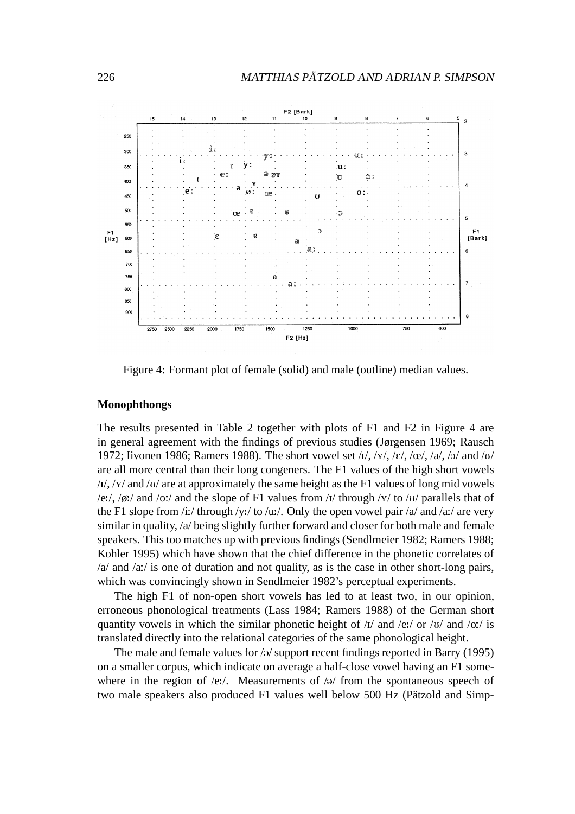

Figure 4: Formant plot of female (solid) and male (outline) median values.

#### **Monophthongs**

The results presented in Table 2 together with plots of F1 and F2 in Figure 4 are in general agreement with the findings of previous studies (Jørgensen 1969; Rausch 1972; Iivonen 1986; Ramers 1988). The short vowel set  $\frac{1}{x}$ ,  $\frac{x}{y}$ ,  $\frac{\varepsilon}{x}$ ,  $\frac{\varepsilon}{x}$ ,  $\frac{\varepsilon}{x}$ ,  $\frac{\varepsilon}{x}$ ,  $\frac{\varepsilon}{x}$ ,  $\frac{\varepsilon}{x}$ ,  $\frac{\varepsilon}{x}$ ,  $\frac{\varepsilon}{x}$ ,  $\frac{\varepsilon}{x}$ are all more central than their long congeners. The F1 values of the high short vowels  $/I/\sqrt{N}$  and  $/U/\sqrt{U}$  are at approximately the same height as the F1 values of long mid vowels /e:/, /ø:/ and /o:/ and the slope of F1 values from / $\frac{1}{\pi}$  through / $\frac{1}{\pi}$  to / $\frac{1}{\pi}$  / parallels that of the F1 slope from /i:/ through /y:/ to /u:/. Only the open vowel pair /a/ and /a:/ are very similar in quality, /a/ being slightly further forward and closer for both male and female speakers. This too matches up with previous findings (Sendlmeier 1982; Ramers 1988; Kohler 1995) which have shown that the chief difference in the phonetic correlates of /a/ and /a:/ is one of duration and not quality, as is the case in other short-long pairs, which was convincingly shown in Sendlmeier 1982's perceptual experiments.

The high F1 of non-open short vowels has led to at least two, in our opinion, erroneous phonological treatments (Lass 1984; Ramers 1988) of the German short quantity vowels in which the similar phonetic height of  $\frac{1}{v}$  and  $\frac{1}{ev}$  or  $\frac{1}{v}$  and  $\frac{1}{ov}$  is translated directly into the relational categories of the same phonological height.

The male and female values for  $\sqrt{a}$  support recent findings reported in Barry (1995) on a smaller corpus, which indicate on average a half-close vowel having an F1 somewhere in the region of /e:/. Measurements of / $\theta$ / from the spontaneous speech of two male speakers also produced F1 values well below 500 Hz (Pätzold and Simp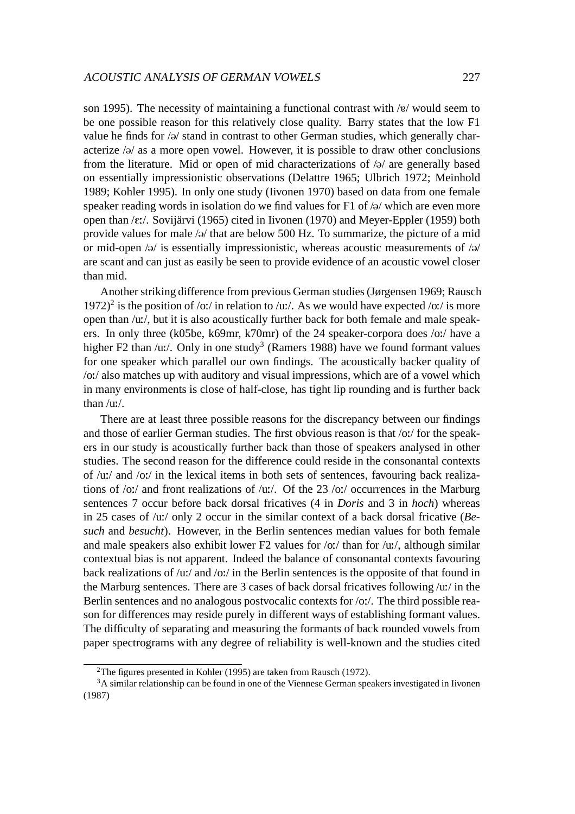son 1995). The necessity of maintaining a functional contrast with  $/e$  would seem to be one possible reason for this relatively close quality. Barry states that the low F1 value he finds for  $\sqrt{a}$  stand in contrast to other German studies, which generally characterize  $\sqrt{a}$  as a more open vowel. However, it is possible to draw other conclusions from the literature. Mid or open of mid characterizations of  $\alpha$  are generally based on essentially impressionistic observations (Delattre 1965; Ulbrich 1972; Meinhold 1989; Kohler 1995). In only one study (Iivonen 1970) based on data from one female speaker reading words in isolation do we find values for F1 of  $/9/$  which are even more open than / $\varepsilon$ :/. Sovijärvi (1965) cited in Iivonen (1970) and Meyer-Eppler (1959) both provide values for male  $\sqrt{2}$  that are below 500 Hz. To summarize, the picture of a mid or mid-open  $\sqrt{a}$  is essentially impressionistic, whereas acoustic measurements of  $\sqrt{a}$ are scant and can just as easily be seen to provide evidence of an acoustic vowel closer than mid.

Another striking difference from previous German studies (Jørgensen 1969; Rausch 1972)<sup>2</sup> is the position of /o:/ in relation to /u:/. As we would have expected /o:/ is more open than /u:/, but it is also acoustically further back for both female and male speakers. In only three (k05be, k69mr, k70mr) of the 24 speaker-corpora does /o:/ have a higher F2 than /u:/. Only in one study<sup>3</sup> (Ramers 1988) have we found formant values for one speaker which parallel our own findings. The acoustically backer quality of /o:/ also matches up with auditory and visual impressions, which are of a vowel which in many environments is close of half-close, has tight lip rounding and is further back than /u:/.

There are at least three possible reasons for the discrepancy between our findings and those of earlier German studies. The first obvious reason is that /o:/ for the speakers in our study is acoustically further back than those of speakers analysed in other studies. The second reason for the difference could reside in the consonantal contexts of /u:/ and /o:/ in the lexical items in both sets of sentences, favouring back realizations of /o:/ and front realizations of /u:/. Of the 23 /o:/ occurrences in the Marburg sentences 7 occur before back dorsal fricatives (4 in *Doris* and 3 in *hoch*) whereas in 25 cases of /u:/ only 2 occur in the similar context of a back dorsal fricative (*Besuch* and *besucht*). However, in the Berlin sentences median values for both female and male speakers also exhibit lower F2 values for  $\frac{\partial u}{\partial x}$  than for  $\frac{\partial u}{\partial y}$ , although similar contextual bias is not apparent. Indeed the balance of consonantal contexts favouring back realizations of /u:/ and /o:/ in the Berlin sentences is the opposite of that found in the Marburg sentences. There are 3 cases of back dorsal fricatives following /u:/ in the Berlin sentences and no analogous postvocalic contexts for /o:/. The third possible reason for differences may reside purely in different ways of establishing formant values. The difficulty of separating and measuring the formants of back rounded vowels from paper spectrograms with any degree of reliability is well-known and the studies cited

<sup>2</sup>The figures presented in Kohler (1995) are taken from Rausch (1972).

<sup>&</sup>lt;sup>3</sup>A similar relationship can be found in one of the Viennese German speakers investigated in Iivonen (1987)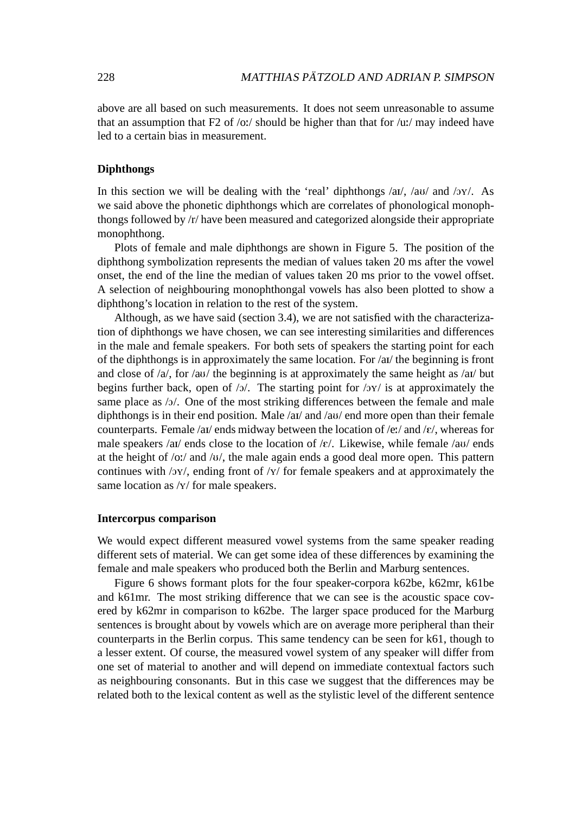above are all based on such measurements. It does not seem unreasonable to assume that an assumption that  $F2$  of /o:/ should be higher than that for /u:/ may indeed have led to a certain bias in measurement.

#### **Diphthongs**

In this section we will be dealing with the 'real' diphthongs  $\langle a \cdot v \rangle$  and  $\langle v \cdot v \rangle$ . As we said above the phonetic diphthongs which are correlates of phonological monophthongs followed by /r/ have been measured and categorized alongside their appropriate monophthong.

Plots of female and male diphthongs are shown in Figure 5. The position of the diphthong symbolization represents the median of values taken 20 ms after the vowel onset, the end of the line the median of values taken 20 ms prior to the vowel offset. A selection of neighbouring monophthongal vowels has also been plotted to show a diphthong's location in relation to the rest of the system.

Although, as we have said (section 3.4), we are not satisfied with the characterization of diphthongs we have chosen, we can see interesting similarities and differences in the male and female speakers. For both sets of speakers the starting point for each of the diphthongs is in approximately the same location. For /aI/ the beginning is front and close of  $/a$ , for  $/au$  the beginning is at approximately the same height as  $/au$  but begins further back, open of  $/2$ . The starting point for  $/2Y$  is at approximately the same place as /ɔ/. One of the most striking differences between the female and male diphthongs is in their end position. Male /ai/ and /au/ end more open than their female counterparts. Female /ai/ ends midway between the location of /e:/ and / $\varepsilon$ /, whereas for male speakers /ai/ ends close to the location of / $\varepsilon$ /. Likewise, while female /au/ ends at the height of  $\overline{\frac{1}{10}}$  and  $\overline{\frac{1}{10}}$ , the male again ends a good deal more open. This pattern continues with  $\sqrt{y}$ , ending front of  $\sqrt{y}$  for female speakers and at approximately the same location as /x/ for male speakers.

#### **Intercorpus comparison**

We would expect different measured vowel systems from the same speaker reading different sets of material. We can get some idea of these differences by examining the female and male speakers who produced both the Berlin and Marburg sentences.

Figure 6 shows formant plots for the four speaker-corpora k62be, k62mr, k61be and k61mr. The most striking difference that we can see is the acoustic space covered by k62mr in comparison to k62be. The larger space produced for the Marburg sentences is brought about by vowels which are on average more peripheral than their counterparts in the Berlin corpus. This same tendency can be seen for k61, though to a lesser extent. Of course, the measured vowel system of any speaker will differ from one set of material to another and will depend on immediate contextual factors such as neighbouring consonants. But in this case we suggest that the differences may be related both to the lexical content as well as the stylistic level of the different sentence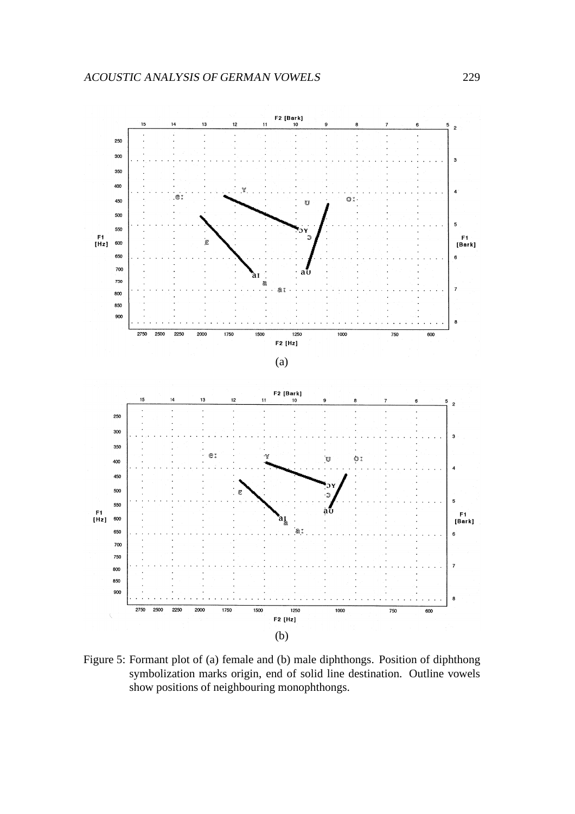

Figure 5: Formant plot of (a) female and (b) male diphthongs. Position of diphthong symbolization marks origin, end of solid line destination. Outline vowels show positions of neighbouring monophthongs.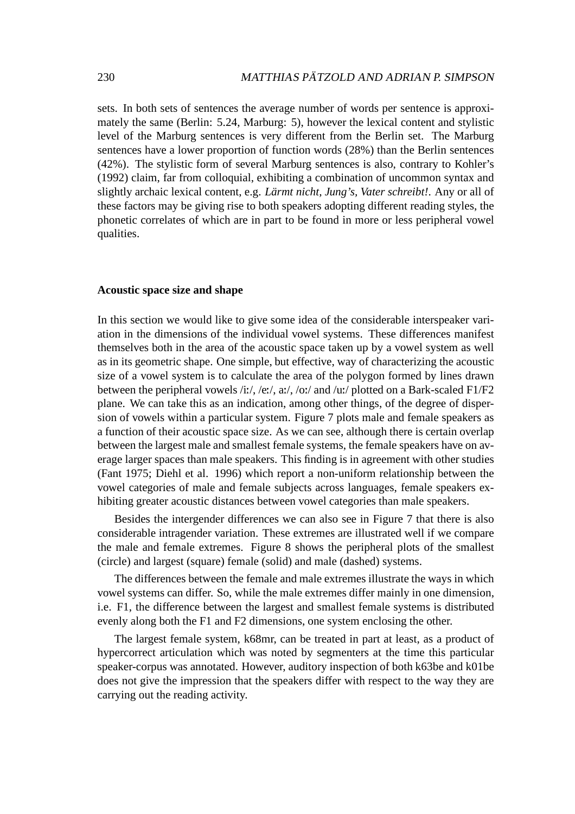sets. In both sets of sentences the average number of words per sentence is approximately the same (Berlin: 5.24, Marburg: 5), however the lexical content and stylistic level of the Marburg sentences is very different from the Berlin set. The Marburg sentences have a lower proportion of function words (28%) than the Berlin sentences (42%). The stylistic form of several Marburg sentences is also, contrary to Kohler's (1992) claim, far from colloquial, exhibiting a combination of uncommon syntax and slightly archaic lexical content, e.g. *Lärmt nicht, Jung's, Vater schreibt!*. Any or all of these factors may be giving rise to both speakers adopting different reading styles, the phonetic correlates of which are in part to be found in more or less peripheral vowel qualities.

#### **Acoustic space size and shape**

In this section we would like to give some idea of the considerable interspeaker variation in the dimensions of the individual vowel systems. These differences manifest themselves both in the area of the acoustic space taken up by a vowel system as well as in its geometric shape. One simple, but effective, way of characterizing the acoustic size of a vowel system is to calculate the area of the polygon formed by lines drawn between the peripheral vowels /i:/, /e:/, a:/, /o:/ and /u:/ plotted on a Bark-scaled F1/F2 plane. We can take this as an indication, among other things, of the degree of dispersion of vowels within a particular system. Figure 7 plots male and female speakers as a function of their acoustic space size. As we can see, although there is certain overlap between the largest male and smallest female systems, the female speakers have on average larger spaces than male speakers. This finding is in agreement with other studies (Fant 1975; Diehl et al. 1996) which report a non-uniform relationship between the vowel categories of male and female subjects across languages, female speakers exhibiting greater acoustic distances between vowel categories than male speakers.

Besides the intergender differences we can also see in Figure 7 that there is also considerable intragender variation. These extremes are illustrated well if we compare the male and female extremes. Figure 8 shows the peripheral plots of the smallest (circle) and largest (square) female (solid) and male (dashed) systems.

The differences between the female and male extremes illustrate the ways in which vowel systems can differ. So, while the male extremes differ mainly in one dimension, i.e. F1, the difference between the largest and smallest female systems is distributed evenly along both the F1 and F2 dimensions, one system enclosing the other.

The largest female system, k68mr, can be treated in part at least, as a product of hypercorrect articulation which was noted by segmenters at the time this particular speaker-corpus was annotated. However, auditory inspection of both k63be and k01be does not give the impression that the speakers differ with respect to the way they are carrying out the reading activity.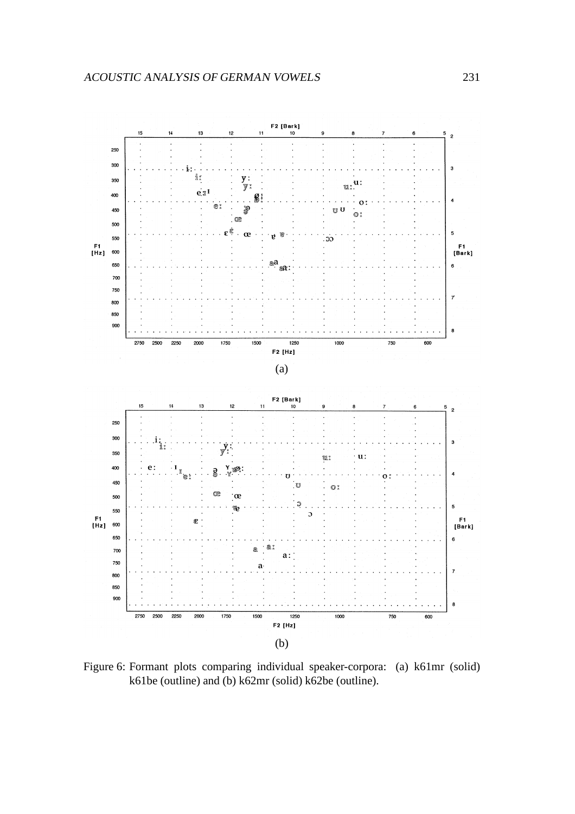

Figure 6: Formant plots comparing individual speaker-corpora: (a) k61mr (solid) k61be (outline) and (b) k62mr (solid) k62be (outline).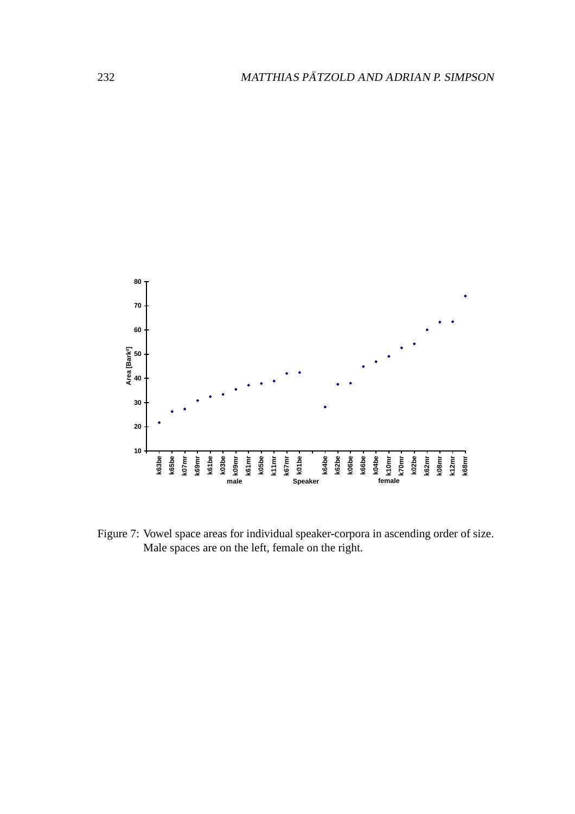

Figure 7: Vowel space areas for individual speaker-corpora in ascending order of size. Male spaces are on the left, female on the right.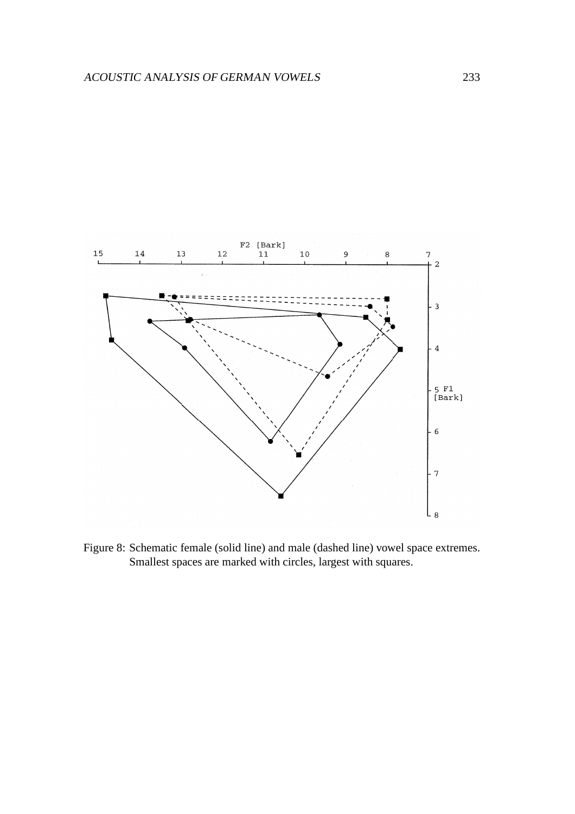

Figure 8: Schematic female (solid line) and male (dashed line) vowel space extremes. Smallest spaces are marked with circles, largest with squares.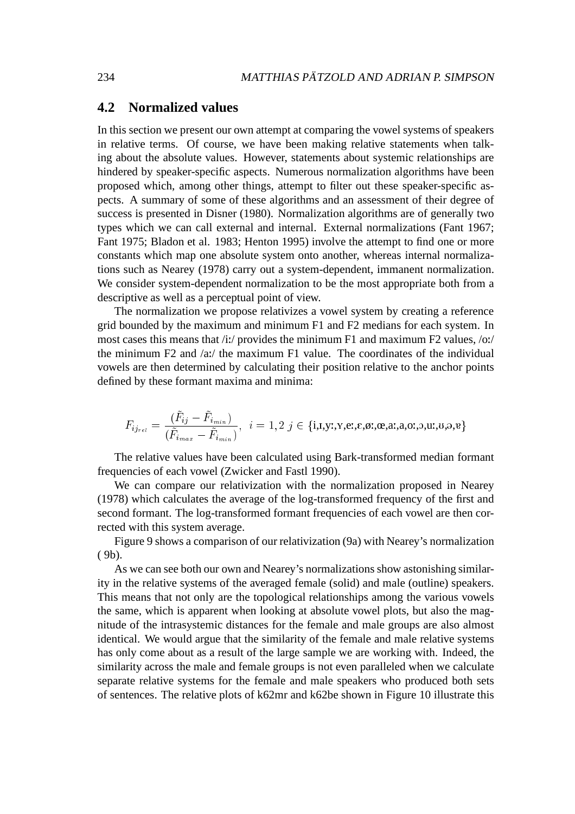#### **4.2 Normalized values**

In this section we present our own attempt at comparing the vowel systems of speakers in relative terms. Of course, we have been making relative statements when talking about the absolute values. However, statements about systemic relationships are hindered by speaker-specific aspects. Numerous normalization algorithms have been proposed which, among other things, attempt to filter out these speaker-specific aspects. A summary of some of these algorithms and an assessment of their degree of success is presented in Disner (1980). Normalization algorithms are of generally two types which we can call external and internal. External normalizations (Fant 1967; Fant 1975; Bladon et al. 1983; Henton 1995) involve the attempt to find one or more constants which map one absolute system onto another, whereas internal normalizations such as Nearey (1978) carry out a system-dependent, immanent normalization. We consider system-dependent normalization to be the most appropriate both from a descriptive as well as a perceptual point of view.

The normalization we propose relativizes a vowel system by creating a reference grid bounded by the maximum and minimum F1 and F2 medians for each system. In most cases this means that  $\frac{1}{i}$  provides the minimum F1 and maximum F2 values,  $\frac{1}{i}$ the minimum F2 and  $\alpha$ :/ the maximum F1 value. The coordinates of the individual vowels are then determined by calculating their position relative to the anchor points defined by these formant maxima and minima:

$$
F_{ij_{rel}} = \frac{(\tilde{F}_{ij} - \tilde{F}_{i_{min}})}{(\tilde{F}_{i_{max}} - \tilde{F}_{i_{min}})}, \ \ i = 1, 2 \ j \in \{\text{i}, \text{i}, \text{y}, \text{y}, \text{e}, \text{g}, \text{g}, \text{a}, \text{a}, \text{a}, \text{b}, \text{b}, \text{a}, \text{b}, \text{e}\}
$$

The relative values have been calculated using Bark-transformed median formant frequencies of each vowel (Zwicker and Fastl 1990).

We can compare our relativization with the normalization proposed in Nearey (1978) which calculates the average of the log-transformed frequency of the first and second formant. The log-transformed formant frequencies of each vowel are then corrected with this system average.

Figure 9 shows a comparison of our relativization (9a) with Nearey's normalization ( 9b).

As we can see both our own and Nearey's normalizations show astonishing similarity in the relative systems of the averaged female (solid) and male (outline) speakers. This means that not only are the topological relationships among the various vowels the same, which is apparent when looking at absolute vowel plots, but also the magnitude of the intrasystemic distances for the female and male groups are also almost identical. We would argue that the similarity of the female and male relative systems has only come about as a result of the large sample we are working with. Indeed, the similarity across the male and female groups is not even paralleled when we calculate separate relative systems for the female and male speakers who produced both sets of sentences. The relative plots of k62mr and k62be shown in Figure 10 illustrate this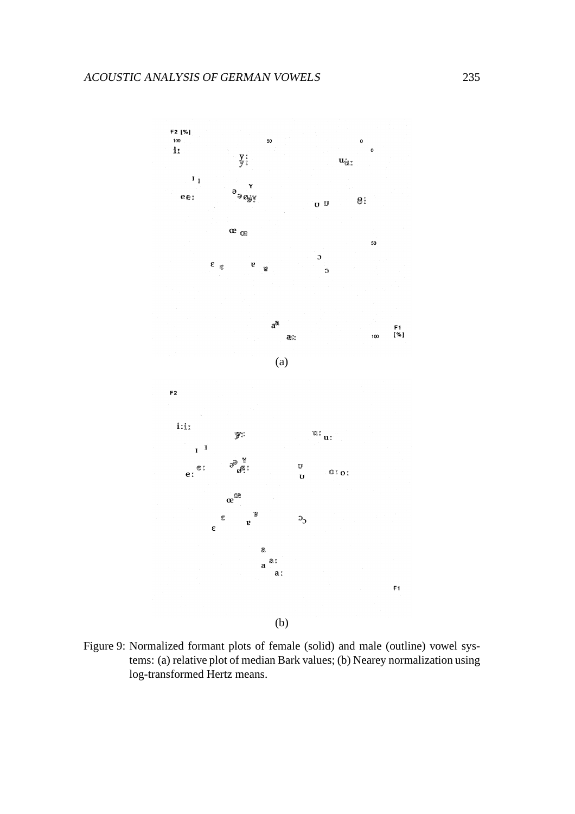

(b)

Figure 9: Normalized formant plots of female (solid) and male (outline) vowel systems: (a) relative plot of median Bark values; (b) Nearey normalization using log-transformed Hertz means.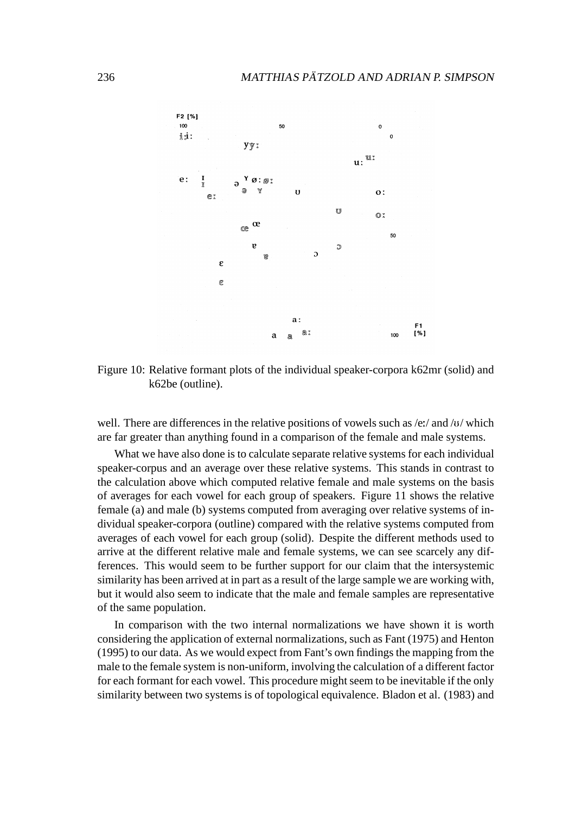

Figure 10: Relative formant plots of the individual speaker-corpora k62mr (solid) and k62be (outline).

well. There are differences in the relative positions of vowels such as  $/e$ :/ and /u/ which are far greater than anything found in a comparison of the female and male systems.

What we have also done is to calculate separate relative systems for each individual speaker-corpus and an average over these relative systems. This stands in contrast to the calculation above which computed relative female and male systems on the basis of averages for each vowel for each group of speakers. Figure 11 shows the relative female (a) and male (b) systems computed from averaging over relative systems of individual speaker-corpora (outline) compared with the relative systems computed from averages of each vowel for each group (solid). Despite the different methods used to arrive at the different relative male and female systems, we can see scarcely any differences. This would seem to be further support for our claim that the intersystemic similarity has been arrived at in part as a result of the large sample we are working with, but it would also seem to indicate that the male and female samples are representative of the same population.

In comparison with the two internal normalizations we have shown it is worth considering the application of external normalizations, such as Fant (1975) and Henton  $(1995)$  to our data. As we would expect from Fant's own findings the mapping from the male to the female system is non-uniform, involving the calculation of a different factor for each formant for each vowel. This procedure might seem to be inevitable if the only similarity between two systems is of topological equivalence. Bladon et al. (1983) and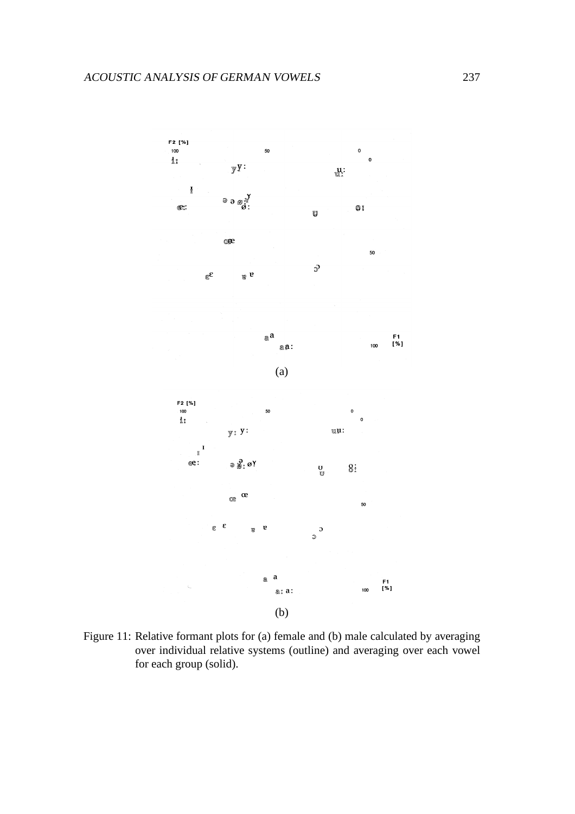

Figure 11: Relative formant plots for (a) female and (b) male calculated by averaging over individual relative systems (outline) and averaging over each vowel for each group (solid).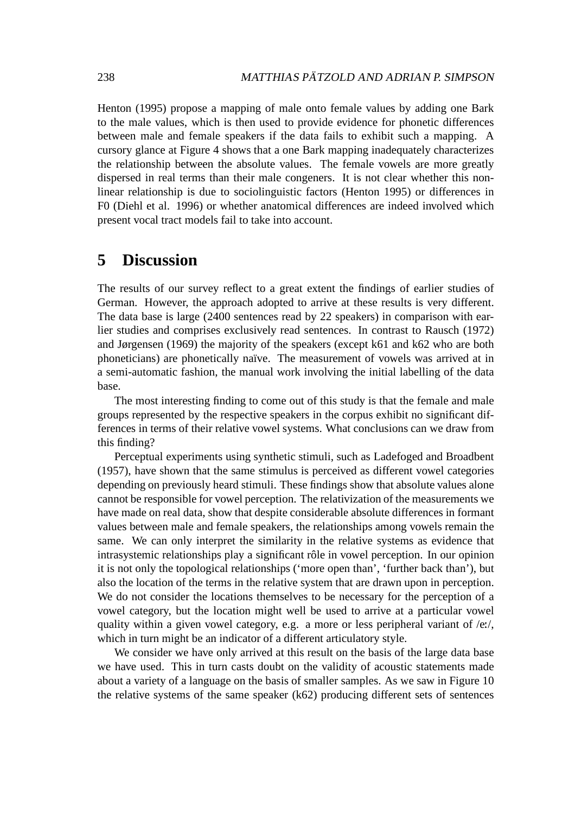Henton (1995) propose a mapping of male onto female values by adding one Bark to the male values, which is then used to provide evidence for phonetic differences between male and female speakers if the data fails to exhibit such a mapping. A cursory glance at Figure 4 shows that a one Bark mapping inadequately characterizes the relationship between the absolute values. The female vowels are more greatly dispersed in real terms than their male congeners. It is not clear whether this nonlinear relationship is due to sociolinguistic factors (Henton 1995) or differences in F0 (Diehl et al. 1996) or whether anatomical differences are indeed involved which present vocal tract models fail to take into account.

# **5 Discussion**

The results of our survey reflect to a great extent the findings of earlier studies of German. However, the approach adopted to arrive at these results is very different. The data base is large (2400 sentences read by 22 speakers) in comparison with earlier studies and comprises exclusively read sentences. In contrast to Rausch (1972) and Jørgensen (1969) the majority of the speakers (except k61 and k62 who are both phoneticians) are phonetically naïve. The measurement of vowels was arrived at in a semi-automatic fashion, the manual work involving the initial labelling of the data base.

The most interesting finding to come out of this study is that the female and male groups represented by the respective speakers in the corpus exhibit no significant differences in terms of their relative vowel systems. What conclusions can we draw from this finding?

Perceptual experiments using synthetic stimuli, such as Ladefoged and Broadbent (1957), have shown that the same stimulus is perceived as different vowel categories depending on previously heard stimuli. These findings show that absolute values alone cannot be responsible for vowel perception. The relativization of the measurements we have made on real data, show that despite considerable absolute differences in formant values between male and female speakers, the relationships among vowels remain the same. We can only interpret the similarity in the relative systems as evidence that intrasystemic relationships play a significant rôle in vowel perception. In our opinion it is not only the topological relationships ('more open than', 'further back than'), but also the location of the terms in the relative system that are drawn upon in perception. We do not consider the locations themselves to be necessary for the perception of a vowel category, but the location might well be used to arrive at a particular vowel quality within a given vowel category, e.g. a more or less peripheral variant of /e:/, which in turn might be an indicator of a different articulatory style.

We consider we have only arrived at this result on the basis of the large data base we have used. This in turn casts doubt on the validity of acoustic statements made about a variety of a language on the basis of smaller samples. As we saw in Figure 10 the relative systems of the same speaker (k62) producing different sets of sentences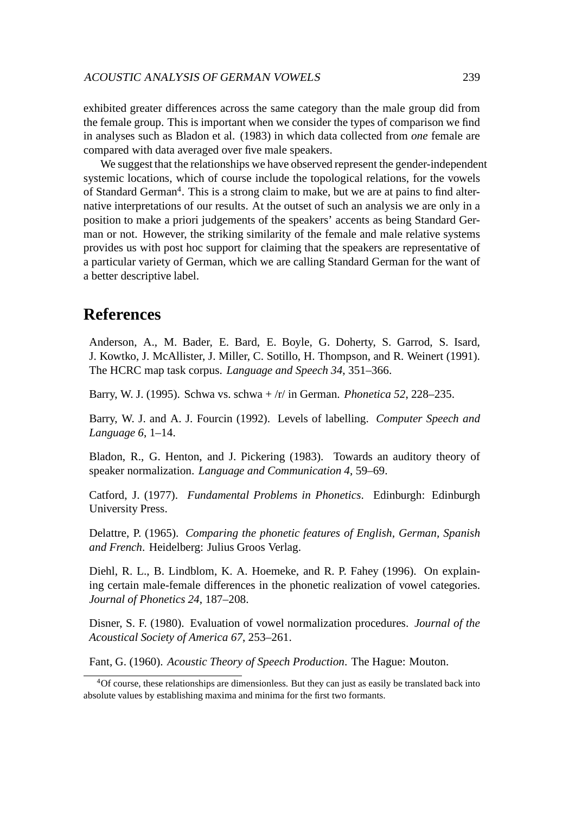exhibited greater differences across the same category than the male group did from the female group. This is important when we consider the types of comparison we find in analyses such as Bladon et al. (1983) in which data collected from *one* female are compared with data averaged over five male speakers.

We suggest that the relationships we have observed represent the gender-independent systemic locations, which of course include the topological relations, for the vowels of Standard German<sup>4</sup>. This is a strong claim to make, but we are at pains to find alternative interpretations of our results. At the outset of such an analysis we are only in a position to make a priori judgements of the speakers' accents as being Standard German or not. However, the striking similarity of the female and male relative systems provides us with post hoc support for claiming that the speakers are representative of a particular variety of German, which we are calling Standard German for the want of a better descriptive label.

# **References**

Anderson, A., M. Bader, E. Bard, E. Boyle, G. Doherty, S. Garrod, S. Isard, J. Kowtko, J. McAllister, J. Miller, C. Sotillo, H. Thompson, and R. Weinert (1991). The HCRC map task corpus. *Language and Speech 34*, 351–366.

Barry, W. J. (1995). Schwa vs. schwa + /r/ in German. *Phonetica 52*, 228–235.

Barry, W. J. and A. J. Fourcin (1992). Levels of labelling. *Computer Speech and Language 6*, 1–14.

Bladon, R., G. Henton, and J. Pickering (1983). Towards an auditory theory of speaker normalization. *Language and Communication 4*, 59–69.

Catford, J. (1977). *Fundamental Problems in Phonetics*. Edinburgh: Edinburgh University Press.

Delattre, P. (1965). *Comparing the phonetic features of English, German, Spanish and French*. Heidelberg: Julius Groos Verlag.

Diehl, R. L., B. Lindblom, K. A. Hoemeke, and R. P. Fahey (1996). On explaining certain male-female differences in the phonetic realization of vowel categories. *Journal of Phonetics 24*, 187–208.

Disner, S. F. (1980). Evaluation of vowel normalization procedures. *Journal of the Acoustical Society of America 67*, 253–261.

Fant, G. (1960). *Acoustic Theory of Speech Production*. The Hague: Mouton.

<sup>4</sup>Of course, these relationships are dimensionless. But they can just as easily be translated back into absolute values by establishing maxima and minima for the first two formants.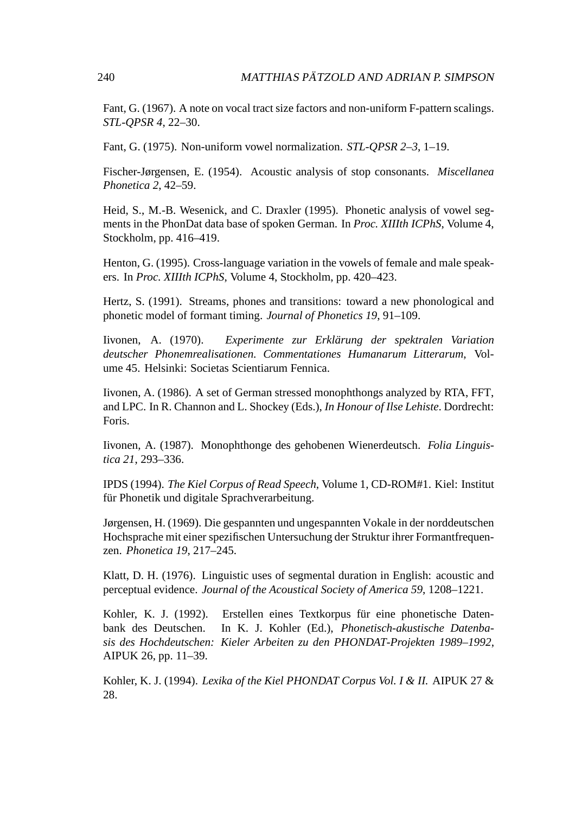Fant, G. (1967). A note on vocal tract size factors and non-uniform F-pattern scalings. *STL-QPSR 4*, 22–30.

Fant, G. (1975). Non-uniform vowel normalization. *STL-QPSR 2–3*, 1–19.

Fischer-Jørgensen, E. (1954). Acoustic analysis of stop consonants. *Miscellanea Phonetica 2*, 42–59.

Heid, S., M.-B. Wesenick, and C. Draxler (1995). Phonetic analysis of vowel segments in the PhonDat data base of spoken German. In *Proc. XIIIth ICPhS*, Volume 4, Stockholm, pp. 416–419.

Henton, G. (1995). Cross-language variation in the vowels of female and male speakers. In *Proc. XIIIth ICPhS*, Volume 4, Stockholm, pp. 420–423.

Hertz, S. (1991). Streams, phones and transitions: toward a new phonological and phonetic model of formant timing. *Journal of Phonetics 19*, 91–109.

Iivonen, A. (1970). *Experimente zur Erklarung der spektralen Variation ¨ deutscher Phonemrealisationen. Commentationes Humanarum Litterarum*, Volume 45. Helsinki: Societas Scientiarum Fennica.

Iivonen, A. (1986). A set of German stressed monophthongs analyzed by RTA, FFT, and LPC. In R. Channon and L. Shockey (Eds.), *In Honour of Ilse Lehiste*. Dordrecht: Foris.

Iivonen, A. (1987). Monophthonge des gehobenen Wienerdeutsch. *Folia Linguistica 21*, 293–336.

IPDS (1994). *The Kiel Corpus of Read Speech*, Volume 1, CD-ROM#1. Kiel: Institut für Phonetik und digitale Sprachverarbeitung.

Jørgensen, H. (1969). Die gespannten und ungespannten Vokale in der norddeutschen Hochsprache mit einer spezifischen Untersuchung der Struktur ihrer Formantfrequenzen. *Phonetica 19*, 217–245.

Klatt, D. H. (1976). Linguistic uses of segmental duration in English: acoustic and perceptual evidence. *Journal of the Acoustical Society of America 59*, 1208–1221.

Kohler, K. J. (1992). Erstellen eines Textkorpus für eine phonetische Datenbank des Deutschen. In K. J. Kohler (Ed.), *Phonetisch-akustische Datenbasis des Hochdeutschen: Kieler Arbeiten zu den PHONDAT-Projekten 1989–1992*, AIPUK 26, pp. 11–39.

Kohler, K. J. (1994). *Lexika of the Kiel PHONDAT Corpus Vol. I & II.* AIPUK 27 & 28.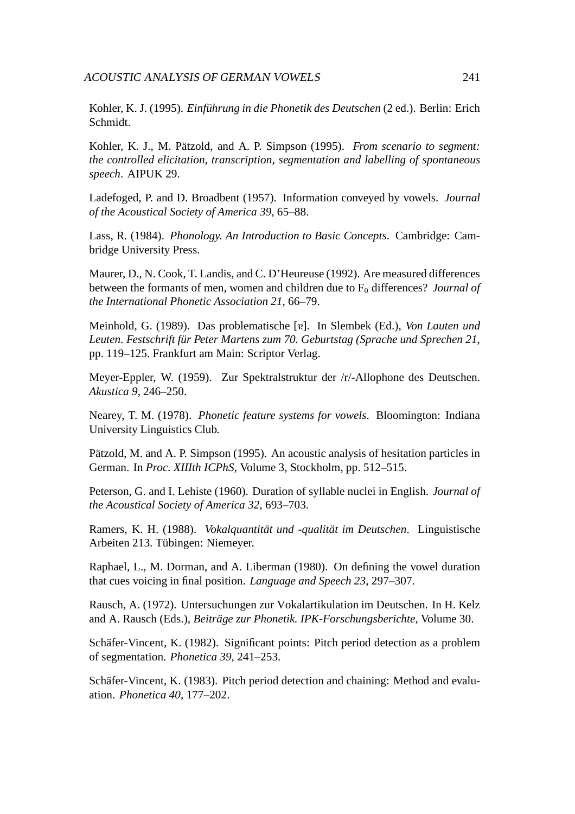Kohler, K. J. (1995). *Einführung in die Phonetik des Deutschen* (2 ed.). Berlin: Erich Schmidt.

Kohler, K. J., M. Pätzold, and A. P. Simpson (1995). *From scenario to segment: the controlled elicitation, transcription, segmentation and labelling of spontaneous speech*. AIPUK 29.

Ladefoged, P. and D. Broadbent (1957). Information conveyed by vowels. *Journal of the Acoustical Society of America 39*, 65–88.

Lass, R. (1984). *Phonology. An Introduction to Basic Concepts*. Cambridge: Cambridge University Press.

Maurer, D., N. Cook, T. Landis, and C. D'Heureuse (1992). Are measured differences between the formants of men, women and children due to F<sub>0</sub> differences? *Journal of the International Phonetic Association 21*, 66–79.

Meinhold, G. (1989). Das problematische [v]. In Slembek (Ed.), *Von Lauten und Leuten. Festschrift für Peter Martens zum 70. Geburtstag (Sprache und Sprechen 21,* pp. 119–125. Frankfurt am Main: Scriptor Verlag.

Meyer-Eppler, W. (1959). Zur Spektralstruktur der /r/-Allophone des Deutschen. *Akustica 9*, 246–250.

Nearey, T. M. (1978). *Phonetic feature systems for vowels*. Bloomington: Indiana University Linguistics Club.

Pätzold, M. and A. P. Simpson (1995). An acoustic analysis of hesitation particles in German. In *Proc. XIIIth ICPhS*, Volume 3, Stockholm, pp. 512–515.

Peterson, G. and I. Lehiste (1960). Duration of syllable nuclei in English. *Journal of the Acoustical Society of America 32*, 693–703.

Ramers, K. H. (1988). *Vokalquantität und -qualität im Deutschen*. Linguistische Arbeiten 213. Tübingen: Niemeyer.

Raphael, L., M. Dorman, and A. Liberman (1980). On defining the vowel duration that cues voicing in final position. *Language and Speech 23*, 297–307.

Rausch, A. (1972). Untersuchungen zur Vokalartikulation im Deutschen. In H. Kelz and A. Rausch (Eds.), *Beitrage zur Phonetik. IPK-Forschungsberichte ¨* , Volume 30.

Schäfer-Vincent, K. (1982). Significant points: Pitch period detection as a problem of segmentation. *Phonetica 39*, 241–253.

Schäfer-Vincent, K. (1983). Pitch period detection and chaining: Method and evaluation. *Phonetica 40*, 177–202.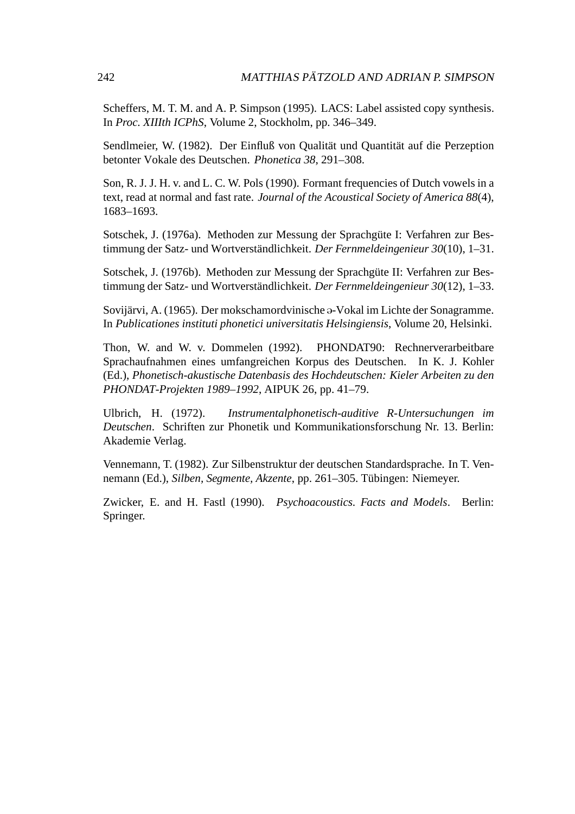Scheffers, M. T. M. and A. P. Simpson (1995). LACS: Label assisted copy synthesis. In *Proc. XIIIth ICPhS*, Volume 2, Stockholm, pp. 346–349.

Sendlmeier, W. (1982). Der Einfluß von Qualität und Quantität auf die Perzeption betonter Vokale des Deutschen. *Phonetica 38*, 291–308.

Son, R. J. J. H. v. and L. C. W. Pols (1990). Formant frequencies of Dutch vowels in a text, read at normal and fast rate. *Journal of the Acoustical Society of America 88*(4), 1683–1693.

Sotschek, J. (1976a). Methoden zur Messung der Sprachgüte I: Verfahren zur Bestimmung der Satz- und Wortverständlichkeit. *Der Fernmeldeingenieur 30*(10), 1–31.

Sotschek, J. (1976b). Methoden zur Messung der Sprachgüte II: Verfahren zur Bestimmung der Satz- und Wortverständlichkeit. *Der Fernmeldeingenieur 30*(12), 1–33.

Sovijärvi, A. (1965). Der mokschamordvinische a-Vokal im Lichte der Sonagramme. In *Publicationes instituti phonetici universitatis Helsingiensis*, Volume 20, Helsinki.

Thon, W. and W. v. Dommelen (1992). PHONDAT90: Rechnerverarbeitbare Sprachaufnahmen eines umfangreichen Korpus des Deutschen. In K. J. Kohler (Ed.), *Phonetisch-akustische Datenbasis des Hochdeutschen: Kieler Arbeiten zu den PHONDAT-Projekten 1989–1992*, AIPUK 26, pp. 41–79.

Ulbrich, H. (1972). *Instrumentalphonetisch-auditive R-Untersuchungen im Deutschen*. Schriften zur Phonetik und Kommunikationsforschung Nr. 13. Berlin: Akademie Verlag.

Vennemann, T. (1982). Zur Silbenstruktur der deutschen Standardsprache. In T. Vennemann (Ed.), *Silben, Segmente, Akzente*, pp. 261–305. Tübingen: Niemeyer.

Zwicker, E. and H. Fastl (1990). *Psychoacoustics. Facts and Models*. Berlin: Springer.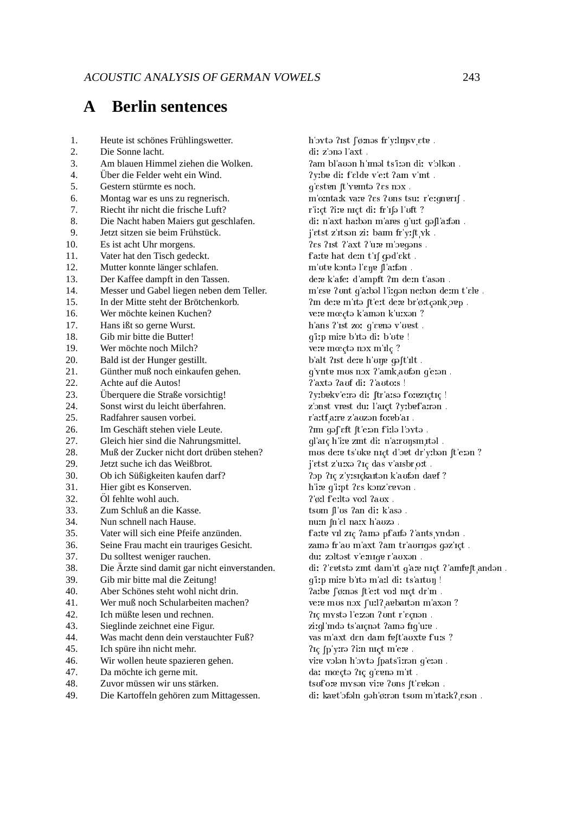#### $\mathbf{\Delta}$ **Berlin sentences**

| 1.              | Heute ist schönes Frühlingswetter.            |
|-----------------|-----------------------------------------------|
| 2.              | Die Sonne lacht.                              |
| 3.              | Am blauen Himmel ziehen die Wolken.           |
| 4.              | Über die Felder weht ein Wind.                |
| 5.              | Gestern stürmte es noch.                      |
| б.              | Montag war es uns zu regnerisch.              |
| 7.              | Riecht ihr nicht die frische Luft?            |
| 8.              | Die Nacht haben Maiers gut geschlafen.        |
| 9.              | Jetzt sitzen sie beim Frühstück.              |
| 10.             | Es ist acht Uhr morgens.                      |
| 11.             | Vater hat den Tisch gedeckt.                  |
| 12.             | Mutter konnte länger schlafen.                |
| 13.             | Der Kaffee dampft in den Tassen.              |
| 14.             | Messer und Gabel liegen neben dem Teller.     |
| 15.             | In der Mitte steht der Brötchenkorb.          |
| 16.             | Wer möchte keinen Kuchen?                     |
| 17.             | Hans ißt so gerne Wurst.                      |
| 18.             | Gib mir bitte die Butter!                     |
| 19.             | Wer möchte noch Milch?                        |
| 20.             | Bald ist der Hunger gestillt.                 |
| 21.             | Günther muß noch einkaufen gehen.             |
| 22.             | Achte auf die Autos!                          |
| 23.             | Überquere die Straße vorsichtig!              |
| 24.             | Sonst wirst du leicht überfahren.             |
| 25.             | Radfahrer sausen vorbei.                      |
| 26.             | Im Geschäft stehen viele Leute.               |
| 27.             | Gleich hier sind die Nahrungsmittel.          |
| 28.             | Muß der Zucker nicht dort drüben stehen?      |
| 29.             | Jetzt suche ich das Weißbrot.                 |
| 30.             | Ob ich Süßigkeiten kaufen darf?               |
| 31.             | Hier gibt es Konserven.                       |
| 32.             | Öl fehlte wohl auch.                          |
| 33.             | Zum Schluß an die Kasse.                      |
| 34.             | Nun schnell nach Hause.                       |
| 35.             | Vater will sich eine Pfeife anzünden.         |
| 36.             | Seine Frau macht ein trauriges Gesicht.       |
| 37.             | Du solltest weniger rauchen.                  |
| 38.             | Die Ärzte sind damit gar nicht einverstanden. |
| 39.             | Gib mir bitte mal die Zeitung!                |
| 40.             | Aber Schönes steht wohl nicht drin.           |
| 41.             | Wer muß noch Schularbeiten machen?            |
| 42.             | Ich müßte lesen und rechnen.                  |
| 43.             | Sieglinde zeichnet eine Figur.                |
| 44.             | Was macht denn dein verstauchter Fuß?         |
| 45.             | Ich spüre ihn nicht mehr.                     |
| $\overline{AB}$ | Wir wollen heute spazieren gehen              |

- 46. Wir wollen heute spazieren gehen.
- 47. Da möchte ich gerne mit.
- 48. Zuvor müssen wir uns stärken.
- 49. Die Kartoffeln gehören zum Mittagessen.

h oxtə ?ist  $\int \phi$  məs fr yılınsv ete. di: z'onə l'axt. ?am bl'auən h'mal ts'i:an di: v'əlkən. ?vibe di: felde v'eit ?am v'int. q'esten [t'yemtə ?es nox. m'ointaik vare ?es ?ons tsur r'eignerif. r'i:ct ?i:e nɪct di: fr'ɪ[ə l'uft ? di: n'axt ha:bən m'ares g'u:t gəfl'a:fən . j'etst z'itsən zi: baim fr y: [t yk. ?es ?ist ?'axt ?'u:e m'oeqons. fatte hat dem t'if god'ekt. m'ote konta l'ene fl'arfan. dere k afer d'ampft ?m dern t'ason. m'ese ?unt q'arbəl l'irqən nerbən derm t'ele. ?m dere m'ita ft'eit dere br'ørtçank oep. vere mύtə k'amən k'urxən? h'ans ?'ist zo: q'e en v'uest. q'imp mire b'ita di: b'ote! vere mύtə nəx m'ilç ? b alt ?ist dere h'une gaft ilt. g'ynte mus nox ?'amk aufon g'eron. ? axta ?auf di: ?'auto:s ! ?yibekv'eirə di: ftr'aisə f'oreziçtiç ! z'onst vrest du: l'arct ?y:bef a:ron. r'a:tf a:re z'auzən fo:eb'aı. ?m qəf eft ft etən fitlə l'oytə. gl'aic h'i: e zint di: n'aironsm ital. mus dere ts'uke nict d'oet dr'y:bon [t'e:on ? j'etst z'u:xa ?ic das v'aisbr o:t. ?op ?ic z'y:sickaiton k'aufon dagf? h ire q irpt ?es konz'evvon.  $?$ ø:l f'eiltə voil $?aux$  . tsum [l'us ?an di: k'aso. nu:n [n'ɛl na:x h'aozə. f'arte vil ziç ?ama pf'arfa ?'ants yndan. zamə fr'au m'axt ?am tr'auriqəs qəz'içt. du: zoltəst v emiqe r'auxən. di: l'evtste zmt dam'nt g'are niçt l'amfeft anden. g'i:p mire b'ita m'ail dir ts'aitun! ?arbe [ørnəs [t'ert vorl nict dr'm. vere mus nox ['url? aebarton m'axon ? ?ις mysta l'eizan ?unt r'εςnan. zi:gl'mdə ts'arçnət ?amə fig'u:e. vas m'axt den dam feft auxte fuis ? ?ic [p'yirə ?i:n nict m'ere. vire volən h'oxtə fpats'irrən g'erən. da: mύtə ?ıç q'evnə m'ıt. tsufore myson vire ?uns [t'eekon. di: kaet ofaln gah ørran tsum m ntark? esan.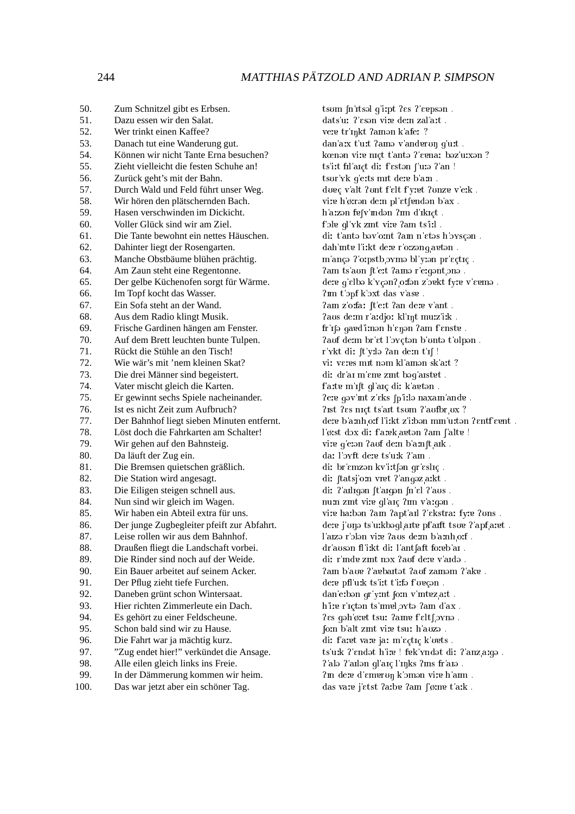| 50.        | Zum Schnitzel gibt es Erbsen.                                                   |
|------------|---------------------------------------------------------------------------------|
| 51.        | Dazu essen wir den Salat.                                                       |
| 52.        | Wer trinkt einen Kaffee?                                                        |
| 53.        | Danach tut eine Wanderung gut.                                                  |
| 54.        | Können wir nicht Tante Erna besuchen?                                           |
| 55.        | Zieht vielleicht die festen Schuhe an!                                          |
| 56.        | Zurück geht's mit der Bahn.                                                     |
| 57.        | Durch Wald und Feld führt unser Weg.                                            |
| 58.        | Wir hören den plätschernden Bach.                                               |
| 59.        | Hasen verschwinden im Dickicht.                                                 |
| 60.        | Voller Glück sind wir am Ziel.                                                  |
| 61.        | Die Tante bewohnt ein nettes Häuschen.                                          |
| 62.        | Dahinter liegt der Rosengarten.                                                 |
| 63.        | Manche Obstbäume blühen prächtig.                                               |
| 64.        | Am Zaun steht eine Regentonne.                                                  |
| 65.        | Der gelbe Küchenofen sorgt für Wärme.                                           |
| 66.        | Im Topf kocht das Wasser.                                                       |
| 67.        | Ein Sofa steht an der Wand.                                                     |
| 68.        | Aus dem Radio klingt Musik.                                                     |
| 69.        | Frische Gardinen hängen am Fenster.                                             |
| 70.        | Auf dem Brett leuchten bunte Tulpen.                                            |
| 71.        | Rückt die Stühle an den Tisch!                                                  |
| 72.        | Wie wär's mit 'nem kleinen Skat?                                                |
| 73.        | Die drei Männer sind begeistert.                                                |
| 74.        | Vater mischt gleich die Karten.                                                 |
| 75.        | Er gewinnt sechs Spiele nacheinander.                                           |
| 76.        | Ist es nicht Zeit zum Aufbruch?                                                 |
| 77.        | Der Bahnhof liegt sieben Minuten entfernt.                                      |
| 78.        | Löst doch die Fahrkarten am Schalter!                                           |
| 79.        | Wir gehen auf den Bahnsteig.                                                    |
| 80.        | Da läuft der Zug ein.                                                           |
| 81.        | Die Bremsen quietschen gräßlich.                                                |
| 82.        | Die Station wird angesagt.                                                      |
| 83.        | Die Eiligen steigen schnell aus.                                                |
| 84.        | Nun sind wir gleich im Wagen.                                                   |
| 85.        | Wir haben ein Abteil extra für uns.                                             |
| 86.        | Der junge Zugbegleiter pfeift zur Abfahrt.<br>Leise rollen wir aus dem Bahnhof. |
| 87.        |                                                                                 |
| 88.        | Draußen fliegt die Landschaft vorbei.                                           |
| 89.<br>90. | Die Rinder sind noch auf der Weide.<br>Ein Bauer arbeitet auf seinem Acker.     |
| 91.        |                                                                                 |
| 92.        | Der Pflug zieht tiefe Furchen.                                                  |
| 93.        | Daneben grünt schon Wintersaat.<br>Hier richten Zimmerleute ein Dach.           |
| 94.        | Es gehört zu einer Feldscheune.                                                 |
| 95.        | Schon bald sind wir zu Hause.                                                   |
| 96.        | Die Fahrt war ja mächtig kurz.                                                  |
| 97.        | "Zug endet hier!" verkündet die Ansage.                                         |
| 98.        | Alle eilen gleich links ins Freie.                                              |
| 99.        | In der Dämmerung kommen wir heim.                                               |
| 100.       | Das war jetzt aber ein schöner Tag.                                             |
|            |                                                                                 |

tsum  $[n]$  itsel q'i:pt ? $\epsilon s$  ?' $\epsilon$  epsen. dats'u: ?'eson vire dem zal'art. vere tr'inkt ?amon k'afer ? dan'arx t'urt ?amə v'anderun g'urt. kœnən vire nıct t'antə ?'evna: bəz'urxən ? ts'it fil aict di: f'estan ['u:a ?'an ! tsur yk q'e:ts mit de:e b'a:n. duec v'alt ?unt f'elt f'yret ?unze v'elk. vire h'ørran dern pl'etfendan b'ax. h'a:zən fe[v'mdən ?ım d'ıkıçt. f ble gl'yk zmt vire ?am ts'i:l. di: t'antə bəv'o:nt ?am n'ɛtəs h'ɔyscən. dah'mte l'i:kt de:e r'o:zang aetan. m'ança ?'o:pstb oxma bl'y:an pr'eçtiç. ?am ts'aun [t'eːt ?amə r'eːqənt ɔnə. dere q'elbə k yçən? orfən z'əvkt fyrv v'evmə. ?mm t'opf k'oxt das v'ase. ?am z'o:fa: [t'e:t ?an de:e v'ant. ?aus derm r'ardjo: kl'int muiz'iik. fr'ile qaed'imen h'enen ?am f'enste. ?auf de:m br'et l'oycton b'unto t'ulpon. r'ykt di: [t'yːlə ʔan deːn t'ɪʃ ! vi: veres mit nom kl'amon sk'ait ? di: dr'ai m'ene zmt baq'aistet. f atte m'ift gl'aic di: k'aeton. ?ere gəv mt z'eks fp'ilə naxam'ande. ? Ist ? es nict ts ait ts um ? aufbr ux ? dere b'amh orf l'irkt z'irbən mm'urtən ?entf'evnt. l'ørst dox di: f arek aeton ?am f alte ! vire q'etan ?auf dem b'amft ark. da: l'orft dere ts'uik ?'am. di: br'emzən kv'i:tfən qr'eslic. di: ftatsj'om vret ?'angoz a:kt. di: ? ailigən ft aigən fn'tl ? aus. num zmt vire ql'arc ?m v'arqon. vire harbon ?am ?apt'ail ?'ekstra: fyre ?uns. dere j'una ts'urkbagl arte pf'arft tsue ? apf aret. l'aizə r'olən vire ?aus derm b'arnh orf. dr'auson fl'ikt di: l'antfaft foreb'ar. di: r'inde zint nox ?auf dere v'aida. Pam b'aug ?'agbaitet Pauf zamem ?'akg. dere pfl'urk ts'itt t'irfa f'ovcan. dan'erbən qr yint form v'intez art. h'ire r'icton ts'imeloxto ?am d'ax. ?es gəh'øret tsur ?ame f'elt[ oynə. fom b'alt zmt vire tsur h'auza. di: f'aret vare jar m'ectic k'oets. ts'uik ?'endət h'ire ! fek'yndət di: ?'anz arqə. ?'alə ?'aılən ql'aıç l'ınks ?ıns fr'aıə. ?m dere d'emeron k'oman vire h'am. das vare j'etst ?arbe ?am ['ørne t'ark.

244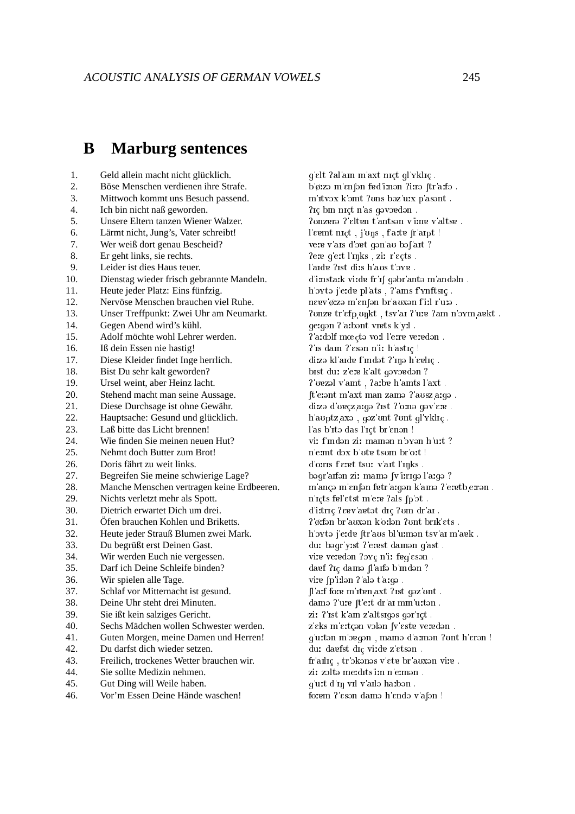#### <sub>R</sub> **Marburg sentences**

- $\mathbf{1}$ . Geld allein macht nicht glücklich.
- $\overline{2}$ . Böse Menschen verdienen ihre Strafe.
- 3. Mittwoch kommt uns Besuch passend.
- $\overline{4}$ Ich bin nicht naß geworden.
- 5. Unsere Eltern tanzen Wiener Walzer.
- Lärmt nicht, Jung's, Vater schreibt! 6.
- Wer weiß dort genau Bescheid? 7.
- Er geht links, sie rechts.  $8<sub>1</sub>$
- $\mathbf{Q}$ Leider ist dies Haus teuer.
- 10. Dienstag wieder frisch gebrannte Mandeln.
- $11.$ Heute jeder Platz: Eins fünfzig.
- $12.$ Nervöse Menschen brauchen viel Ruhe.
- Unser Treffpunkt: Zwei Uhr am Neumarkt.  $13.$
- Gegen Abend wird's kühl.  $14.$
- $15.$ Adolf möchte wohl Lehrer werden.
- Iß dein Essen nie hastig!  $16<sup>1</sup>$
- 17. Diese Kleider findet Inge herrlich.
- 18. Bist Du sehr kalt geworden?
- Ursel weint, aber Heinz lacht. 19.
- 20. Stehend macht man seine Aussage.
- 21. Diese Durchsage ist ohne Gewähr.
- 22. Hauptsache: Gesund und glücklich.
- 23. Laß bitte das Licht brennen!
- Wie finden Sie meinen neuen Hut?  $24.$
- 25. Nehmt doch Butter zum Brot!
- 26. Doris fährt zu weit links.
- 27. Begreifen Sie meine schwierige Lage?
- 28. Manche Menschen vertragen keine Erdbeeren.
- 29. Nichts verletzt mehr als Spott.
- $30.$ Dietrich erwartet Dich um drei.
- $31.$ Öfen brauchen Kohlen und Briketts.
- $32<sub>2</sub>$ Heute jeder Strauß Blumen zwei Mark.
- Du begrüßt erst Deinen Gast. 33.
- 34. Wir werden Euch nie vergessen.
- $35$ Darf ich Deine Schleife binden?
- 36. Wir spielen alle Tage.
- 37. Schlaf vor Mitternacht ist gesund.
- 38. Deine Uhr steht drei Minuten.
- 39. Sie ißt kein salziges Gericht.
- $40.$ Sechs Mädchen wollen Schwester werden.
- 41. Guten Morgen, meine Damen und Herren!
- 42. Du darfst dich wieder setzen.
- Freilich, trockenes Wetter brauchen wir. 43.
- 44. Sie sollte Medizin nehmen.
- $45.$ Gut Ding will Weile haben.
- $46.$ Vor'm Essen Deine Hände waschen!

g'elt ?al'am m'axt nıçt gl'yklıç . b'ørzə m'anfən fed'imən ?irrə ftr'arfə. m'itvox k'omt ?uns bəz'u:x p'asənt. ?Ic bin nict n'as gavoedan. ?unzero ?'elten t'antson v'ime v'altse. l'event niçt, j'ons, faite fr'amt! vere v'ais d'ort qon'au bof'ait ? ?ere g'ert l'mks, zir r'eçts. l'aide ?ist diis h'aus t'oye. d'imstark virde fr'if qəbr'antə m'andəln. h'oxto j'e:de pl'ats, ? ams f'ynftsic. neev'ørzə m'enfən br'auxən firl r'urə. ? unze tr'efp unkt, tsv'ai ?'ure ?am n'oym aekt. gergan ? arbant vrets k yrl. ?'a:dolf mœctə voil l'erre veredən. ?'Is dam ?'eson n'i: h'astiç ! di:zə kl'arde f'mdət ?'mə h'eelrç. bist du: z'ere k'alt qəvərdən? ?'vezal v'amt, ?a:be h'amts l'axt. ft eiont m'axt man zamo ? ausz aigo. dizə d'uvçz argə ?ist ?'ornə gəv'are. h'auptz axə, gəz'unt ?unt gl'yklıç. l'as b'ita das l'ict br'enan! vi: f'indən zi: mamən n'oyən h'u:t ? n'eint dox b'ote tsom br'oit ! d'orris f'eret tsur v'ait l'inks. bəgr arfən zi: mamə fv irrigə l'argə? m'ançə m'enfən fetr'arqən k'amə ?'eretb errən. n'icts fel'etst m'ere ?als [p'ɔt. d'ittric ?evv'avtet dic ?um dr'ai. ?'ø:fən br'auxən k'o:lən ?unt brık'ets. h'ovtə j'e:de [tr'aus bl'u:mən tsv'ai m'aek. du: bəqr'yist ?'erest damən q'ast. vire veredən ?oyc n'i: feq'esən. davf ?ic dama [l'aifa b'indan? vire (p'irlan ?'ala t'arqa. [l'aif fore m'iten axt ?ist qəz'unt. dama ?'ure ft'ert dr'ar mm'urtan. zi: ?'ist k'am z'altsigəs gər'içt. z'eks m'ertçən volən [v'este veredən. q'u:tən m'ogqən, mamə d'a:mən ?ont h'erən! du: daefst diç vi:de z'etson. fr'anlıç, tr'okonos v'ete br'auxon vire. zi: zolta merdits'i:n n'e:man. q'uit d'in vil v'ailə haibən. forem ?'eson damo h'endo v'afon !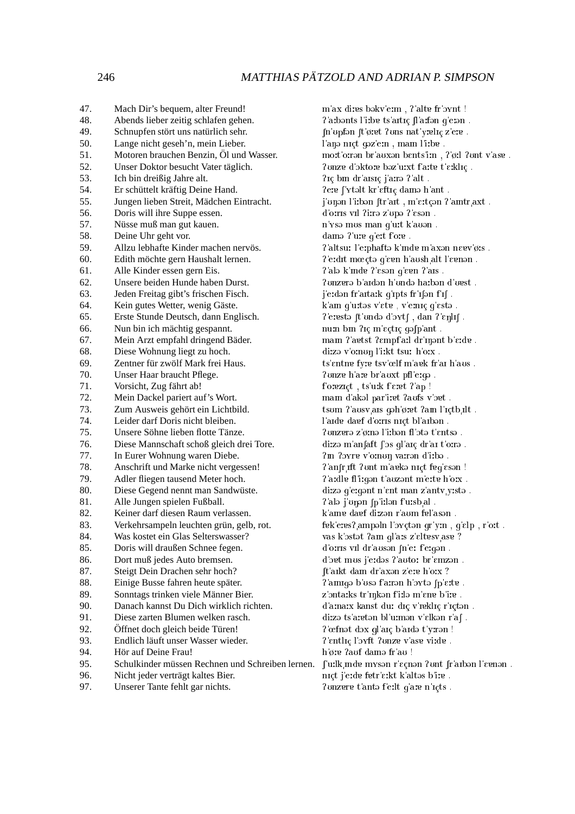#### MATTHIAS PÄTZOLD AND ADRIAN P. SIMPSON

47. Mach Dir's bequem, alter Freund! 48. Abends lieber zeitig schlafen gehen. 49. Schnupfen stört uns natürlich sehr. 50. Lange nicht geseh'n, mein Lieber.  $51.$ Motoren brauchen Benzin, Öl und Wasser.  $52$ Unser Doktor besucht Vater täglich. 53. Ich bin dreißig Jahre alt. 54. Er schüttelt kräftig Deine Hand. 55. Jungen lieben Streit, Mädchen Eintracht. Doris will ihre Suppe essen. 56. 57. Nüsse muß man gut kauen. 58. Deine Uhr geht vor. 59. Allzu lebhafte Kinder machen nervös. 60. Edith möchte gern Haushalt lernen. Alle Kinder essen gern Eis. 61. 62. Unsere beiden Hunde haben Durst. 63 Jeden Freitag gibt's frischen Fisch. Kein gutes Wetter, wenig Gäste. 64. 65. Erste Stunde Deutsch, dann Englisch. Nun bin ich mächtig gespannt. 66. 67. Mein Arzt empfahl dringend Bäder. Diese Wohnung liegt zu hoch. 68. 69. Zentner für zwölf Mark frei Haus. 70. Unser Haar braucht Pflege.  $71.$ Vorsicht, Zug fährt ab! 72. Mein Dackel pariert auf's Wort. 73. Zum Ausweis gehört ein Lichtbild. 74 Leider darf Doris nicht bleiben. 75 Unsere Söhne lieben flotte Tänze. 76. Diese Mannschaft schoß gleich drei Tore. 77. In Eurer Wohnung waren Diebe. Anschrift und Marke nicht vergessen! 78. 79 Adler fliegen tausend Meter hoch. 80. Diese Gegend nennt man Sandwüste. 81. Alle Jungen spielen Fußball. Keiner darf diesen Raum verlassen. 82. 83. Verkehrsampeln leuchten grün, gelb, rot. Was kostet ein Glas Selterswasser? 84. 85. Doris will draußen Schnee fegen. Dort muß jedes Auto bremsen. 86. Steigt Dein Drachen sehr hoch? 87. 88. Einige Busse fahren heute später. 89. Sonntags trinken viele Männer Bier. 90. Danach kannst Du Dich wirklich richten. 91. Diese zarten Blumen welken rasch. 92. Öffnet doch gleich beide Türen! 93. Endlich läuft unser Wasser wieder. 94. Hör auf Deine Frau!  $95$ Schulkinder müssen Rechnen und Schreiben lernen. 96. Nicht jeder verträgt kaltes Bier. 97. Unserer Tante fehlt gar nichts. ? onzere t'anto f'eilt q'are n'icts.

 $m'ax$  dires bəkv'e.m , ?'alte $fr'$ əvn<br/>t ! ?'a:bənts l'i:bɐ ts'aɪtɪç [l'aːfən g'eːən. In upfon It øret ?uns nat yrelig z'ere. l'ano niçt goz'em , mam l'irbe. mott orran br'auxan bents'im, ? øil ? unt v'ase. ? onze d'oktore baz'urxt f'arte t'erklic. ?ic bin dr'aisic i'aira ? alt. ?ere f'ytalt kr'eftic dama h'ant. j'onən l'i:bən [tr'ait, m'ɛːtçən ʔ'aɪntr axt. d'orris vil ?irrə z'upə ?'esən. n'ysə mus man q'u:t k auən. dama ? ure q'ert f'ore. ?'altsu: l'erphaftə k'mde m'axən neev'ø:s. l'erdit mύtə g'evn h'aush alt l'evnən. l'ala k'mde l'esan q'een l'ais. ? unzerə b'aidən h'undə hatbən d'uest j'e:dən fr'arta:k g'rpts fr'ıfən f'ıf. k'am g'urtos v'ete, v'emiç g'esto.  $?$  eresta [t unda d oxt], dan  $?$  enli]. num bin ?iç m'eçtiç qəfp'ant. mam ?'aetst ?empf'a:l dr'nont b'e:de. dizə v'omun l'izkt tsur h'orx. ts'entne fyre tsv'œlf m'aek fr'ar h'aus. ? unze h'are br'auxt pfl'erga. f'orezict, ts'urk f'eret ?'ap! mam d'akal par'i: et ?aufs v'oet. tsum ?'ausv ais gəh'øret ?am l'içtb ilt. l'aide dagf d'oiris nict bl'aibən. ?unzerə z'ømə l'i:bən fl'otə t'entsə. di:zə m'anfaft f'əs gl'arç dr'ar t'o:rə ?m ?oyre v'o:non varran d'irba. ?'anfr ift ?ont m'arka nict frq'esan ! ?'a:dle fl'i:gən t'auzənt m'e:te h'o:x. dizə g'eigənt n'ent man z'antv yistə. ? ala j'unan (p'i:lan f'u:sb al. k'ame daef dizən r'aum fel'asən. fek'eres? ampəln l'oxçtən qr'ym, q'elp, r'ort. vas k'ostot ?am ql'ais z'eltesvase ? d'orris vil dr'auson fn'er f'ergon. d'ort mus i'eides l'autoi br'emzen. ft arkt dam dr axon z'ere h'orx ?  $2'$ amiqə b'usə f'airən h'oxtə  $[p]$ eite. z'ontarks tr'inkən f'irlə m'ene b'ire. d'amaix kanst dur diç v'rekliç r'içtən. di:zə ts'a:etən bl'u:mən v'ɛlkən r'af. l'œfnət dəx ql'aiç b'aidə t'yirən! ?'entlic l'orft ?onze v'ase vi:de. h'ø: e?auf dama fr'au ! f'uilk mde myson r'ecnon ?unt fr'aibon l'eenon. nict j'eide fetr'eikt k'altəs b'ire.

246